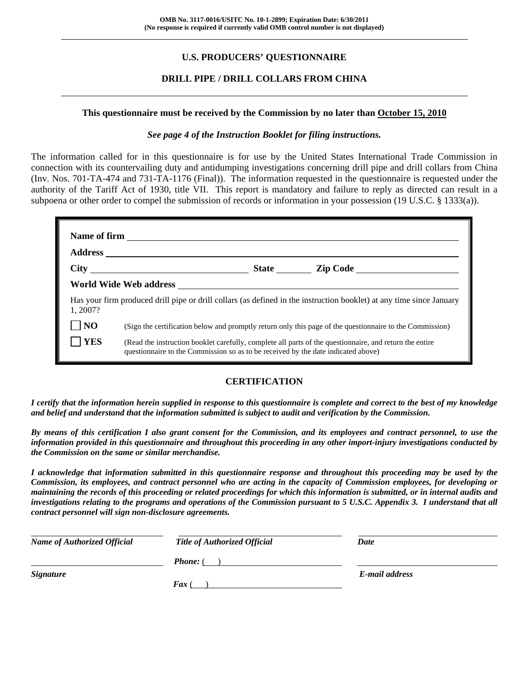# **U.S. PRODUCERS' QUESTIONNAIRE**

# **DRILL PIPE / DRILL COLLARS FROM CHINA**

#### **This questionnaire must be received by the Commission by no later than October 15, 2010**

#### *See page 4 of the Instruction Booklet for filing instructions.*

The information called for in this questionnaire is for use by the United States International Trade Commission in connection with its countervailing duty and antidumping investigations concerning drill pipe and drill collars from China (Inv. Nos. 701-TA-474 and 731-TA-1176 (Final)). The information requested in the questionnaire is requested under the authority of the Tariff Act of 1930, title VII. This report is mandatory and failure to reply as directed can result in a subpoena or other order to compel the submission of records or information in your possession (19 U.S.C. § 1333(a)).

| Name of firm <u>example and the set of the set of the set of the set of the set of the set of the set of the set of the set of the set of the set of the set of the set of the set of the set of the set of the set of the set o</u> |                                                                                                                                                                                              |  |  |  |  |  |  |
|--------------------------------------------------------------------------------------------------------------------------------------------------------------------------------------------------------------------------------------|----------------------------------------------------------------------------------------------------------------------------------------------------------------------------------------------|--|--|--|--|--|--|
|                                                                                                                                                                                                                                      |                                                                                                                                                                                              |  |  |  |  |  |  |
|                                                                                                                                                                                                                                      |                                                                                                                                                                                              |  |  |  |  |  |  |
|                                                                                                                                                                                                                                      |                                                                                                                                                                                              |  |  |  |  |  |  |
| 1, 2007?                                                                                                                                                                                                                             | Has your firm produced drill pipe or drill collars (as defined in the instruction booklet) at any time since January                                                                         |  |  |  |  |  |  |
| N <sub>O</sub>                                                                                                                                                                                                                       | (Sign the certification below and promptly return only this page of the questionnaire to the Commission)                                                                                     |  |  |  |  |  |  |
| <b>YES</b>                                                                                                                                                                                                                           | (Read the instruction booklet carefully, complete all parts of the questionnaire, and return the entire<br>questionnaire to the Commission so as to be received by the date indicated above) |  |  |  |  |  |  |

#### **CERTIFICATION**

*I certify that the information herein supplied in response to this questionnaire is complete and correct to the best of my knowledge and belief and understand that the information submitted is subject to audit and verification by the Commission.* 

*By means of this certification I also grant consent for the Commission, and its employees and contract personnel, to use the information provided in this questionnaire and throughout this proceeding in any other import-injury investigations conducted by the Commission on the same or similar merchandise.* 

*I acknowledge that information submitted in this questionnaire response and throughout this proceeding may be used by the Commission, its employees, and contract personnel who are acting in the capacity of Commission employees, for developing or maintaining the records of this proceeding or related proceedings for which this information is submitted, or in internal audits and investigations relating to the programs and operations of the Commission pursuant to 5 U.S.C. Appendix 3. I understand that all contract personnel will sign non-disclosure agreements.* 

| <b>Name of Authorized Official</b> | <b>Title of Authorized Official</b> | Date           |
|------------------------------------|-------------------------------------|----------------|
|                                    | <b>Phone:</b> (                     |                |
| <b>Signature</b>                   |                                     | E-mail address |
|                                    | $\boldsymbol{F}$ ax (               |                |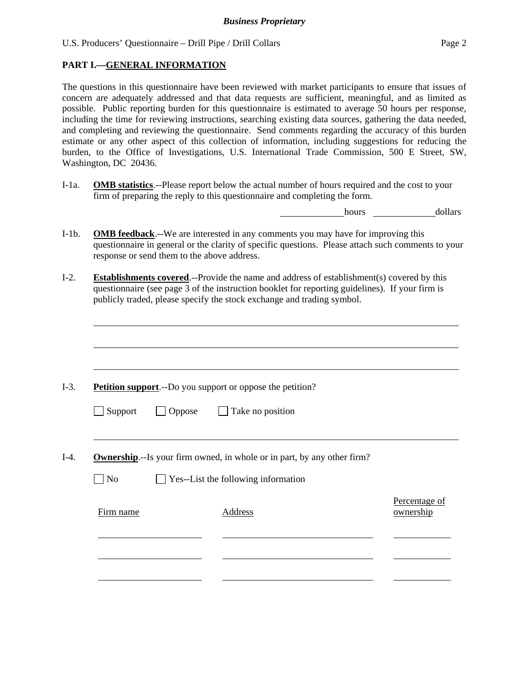#### **PART I.—GENERAL INFORMATION**

 $\overline{a}$ 

 $\overline{a}$ 

 $\overline{a}$ 

l

The questions in this questionnaire have been reviewed with market participants to ensure that issues of concern are adequately addressed and that data requests are sufficient, meaningful, and as limited as possible. Public reporting burden for this questionnaire is estimated to average 50 hours per response, including the time for reviewing instructions, searching existing data sources, gathering the data needed, and completing and reviewing the questionnaire. Send comments regarding the accuracy of this burden estimate or any other aspect of this collection of information, including suggestions for reducing the burden, to the Office of Investigations, U.S. International Trade Commission, 500 E Street, SW, Washington, DC 20436.

I-1a. **OMB statistics**.--Please report below the actual number of hours required and the cost to your firm of preparing the reply to this questionnaire and completing the form.

hours dollars

Percentage of

- I-1b. **OMB feedback**.--We are interested in any comments you may have for improving this questionnaire in general or the clarity of specific questions. Please attach such comments to your response or send them to the above address.
- I-2. **Establishments covered**.--Provide the name and address of establishment(s) covered by this questionnaire (see page 3 of the instruction booklet for reporting guidelines). If your firm is publicly traded, please specify the stock exchange and trading symbol.

I-3. **Petition support**.--Do you support or oppose the petition?

| $\Box$ Support | $\Box$ Oppose | $\Box$ Take no position |
|----------------|---------------|-------------------------|
|----------------|---------------|-------------------------|

I-4. **Ownership**.--Is your firm owned, in whole or in part, by any other firm?

 $\Box$  No  $\Box$  Yes--List the following information

| Firm name | Address | I CICCINAZE OI<br>ownership |
|-----------|---------|-----------------------------|
|           |         |                             |
|           |         |                             |
|           |         |                             |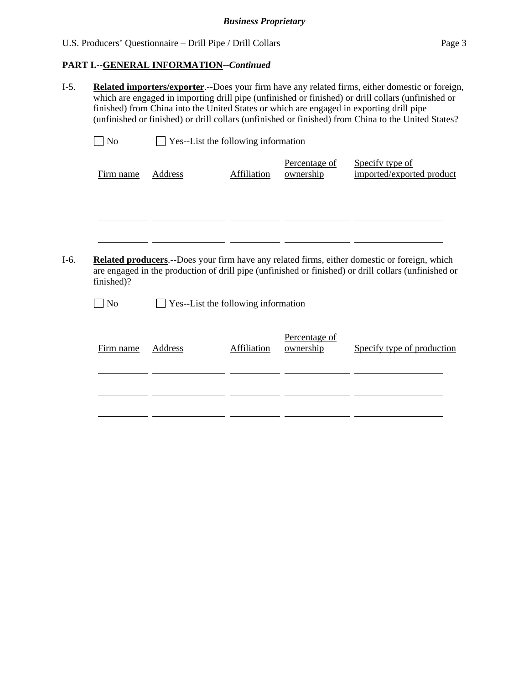# **PART I.--GENERAL INFORMATION***--Continued*

l

l

I-5. **Related importers/exporter**.--Does your firm have any related firms, either domestic or foreign, which are engaged in importing drill pipe (unfinished or finished) or drill collars (unfinished or finished) from China into the United States or which are engaged in exporting drill pipe (unfinished or finished) or drill collars (unfinished or finished) from China to the United States?

| No        | <b>Yes--List the following information</b> |             |                            |                                              |  |  |  |
|-----------|--------------------------------------------|-------------|----------------------------|----------------------------------------------|--|--|--|
| Firm name | Address                                    | Affiliation | Percentage of<br>ownership | Specify type of<br>imported/exported product |  |  |  |

 $\overline{\phantom{a}}$  and  $\overline{\phantom{a}}$ 

I-6. **Related producers**.--Does your firm have any related firms, either domestic or foreign, which are engaged in the production of drill pipe (unfinished or finished) or drill collars (unfinished or finished)?

 $\mathcal{L}$  and  $\mathcal{L}$ 

 $\Box$  No  $\Box$  Yes--List the following information

| Firm name | Address | Affiliation | Percentage of<br>ownership | Specify type of production |
|-----------|---------|-------------|----------------------------|----------------------------|
|           |         |             |                            |                            |
|           |         |             |                            |                            |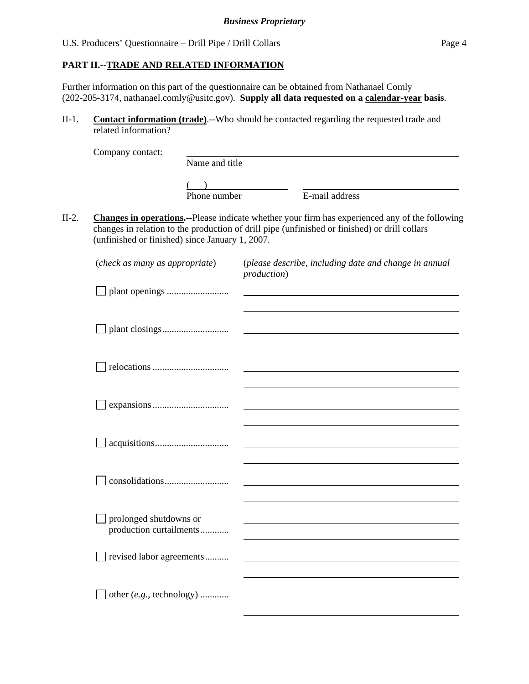# **PART II.--TRADE AND RELATED INFORMATION**

Further information on this part of the questionnaire can be obtained from Nathanael Comly (202-205-3174, nathanael.comly@usitc.gov). **Supply all data requested on a calendar-year basis**.

II-1. **Contact information (trade)**.--Who should be contacted regarding the requested trade and related information?

|         | Company contact:                                  |                |                                                                                                                                                                                                         |  |  |  |
|---------|---------------------------------------------------|----------------|---------------------------------------------------------------------------------------------------------------------------------------------------------------------------------------------------------|--|--|--|
|         |                                                   | Name and title |                                                                                                                                                                                                         |  |  |  |
|         |                                                   |                |                                                                                                                                                                                                         |  |  |  |
|         |                                                   | Phone number   | E-mail address                                                                                                                                                                                          |  |  |  |
| $II-2.$ | (unfinished or finished) since January 1, 2007.   |                | <b>Changes in operations.</b> --Please indicate whether your firm has experienced any of the following<br>changes in relation to the production of drill pipe (unfinished or finished) or drill collars |  |  |  |
|         | (check as many as appropriate)                    |                | (please describe, including date and change in annual<br><i>production</i> )                                                                                                                            |  |  |  |
|         |                                                   |                |                                                                                                                                                                                                         |  |  |  |
|         |                                                   |                |                                                                                                                                                                                                         |  |  |  |
|         |                                                   |                |                                                                                                                                                                                                         |  |  |  |
|         |                                                   |                |                                                                                                                                                                                                         |  |  |  |
|         |                                                   |                |                                                                                                                                                                                                         |  |  |  |
|         |                                                   |                |                                                                                                                                                                                                         |  |  |  |
|         | prolonged shutdowns or<br>production curtailments |                |                                                                                                                                                                                                         |  |  |  |
|         | revised labor agreements                          |                |                                                                                                                                                                                                         |  |  |  |
|         | other (e.g., technology)                          |                |                                                                                                                                                                                                         |  |  |  |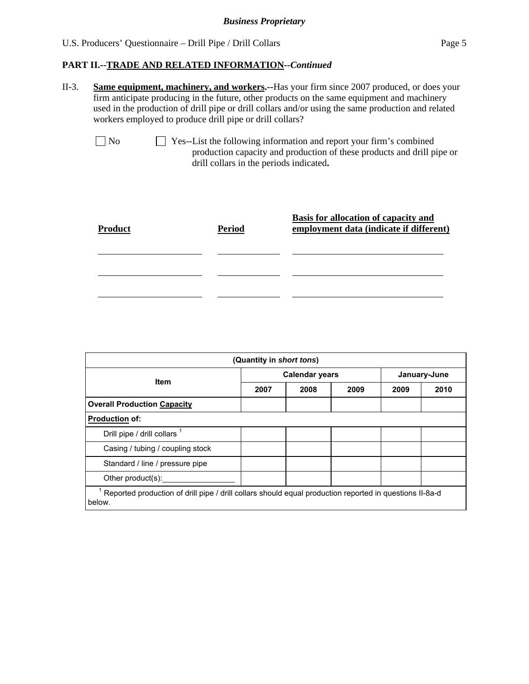II-3. **Same equipment, machinery, and workers.--**Has your firm since 2007 produced, or does your firm anticipate producing in the future, other products on the same equipment and machinery used in the production of drill pipe or drill collars and/or using the same production and related workers employed to produce drill pipe or drill collars?

 No Yes--List the following information and report your firm's combined production capacity and production of these products and drill pipe or drill collars in the periods indicated**.** 

| <b>Product</b> | <b>Period</b> | <b>Basis for allocation of capacity and</b><br>employment data (indicate if different) |
|----------------|---------------|----------------------------------------------------------------------------------------|
|                |               |                                                                                        |
|                |               |                                                                                        |

| (Quantity in short tons)                                                                                          |                       |      |      |              |      |  |
|-------------------------------------------------------------------------------------------------------------------|-----------------------|------|------|--------------|------|--|
| <b>Item</b>                                                                                                       | <b>Calendar years</b> |      |      | January-June |      |  |
|                                                                                                                   | 2007                  | 2008 | 2009 | 2009         | 2010 |  |
| <b>Overall Production Capacity</b>                                                                                |                       |      |      |              |      |  |
| <b>Production of:</b>                                                                                             |                       |      |      |              |      |  |
| Drill pipe / drill collars 1                                                                                      |                       |      |      |              |      |  |
| Casing / tubing / coupling stock                                                                                  |                       |      |      |              |      |  |
| Standard / line / pressure pipe                                                                                   |                       |      |      |              |      |  |
| Other product(s):                                                                                                 |                       |      |      |              |      |  |
| Reported production of drill pipe / drill collars should equal production reported in questions II-8a-d<br>below. |                       |      |      |              |      |  |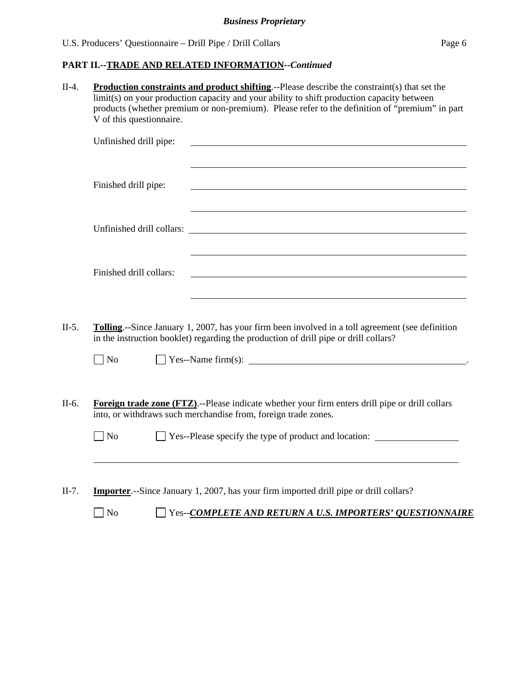# **PART II.--TRADE AND RELATED INFORMATION***--Continued*

II-4. **Production constraints and product shifting**.--Please describe the constraint(s) that set the limit(s) on your production capacity and your ability to shift production capacity between products (whether premium or non-premium). Please refer to the definition of "premium" in part V of this questionnaire.

| Unfinished drill pipe:  |                                                                                                                                                                                                                                    |
|-------------------------|------------------------------------------------------------------------------------------------------------------------------------------------------------------------------------------------------------------------------------|
| Finished drill pipe:    | and the control of the control of the control of the control of the control of the control of the control of the                                                                                                                   |
|                         | <u> 1989 - Johann Stoff, deutscher Stoffen und der Stoffen und der Stoffen und der Stoffen und der Stoffen und de</u>                                                                                                              |
| Finished drill collars: | <u> 1989 - Johann Stoff, deutscher Stoff, der Stoff, der Stoff, der Stoff, der Stoff, der Stoff, der Stoff, der S</u>                                                                                                              |
| $\neg$ No               | <b>Tolling.</b> --Since January 1, 2007, has your firm been involved in a toll agreement (see definition<br>in the instruction booklet) regarding the production of drill pipe or drill collars?                                   |
| $\Box$ No               | <b>Foreign trade zone (FTZ).</b> --Please indicate whether your firm enters drill pipe or drill collars<br>into, or withdraws such merchandise from, foreign trade zones.<br>Yes--Please specify the type of product and location: |
|                         | <b>Importer.</b> --Since January 1, 2007, has your firm imported drill pipe or drill collars?                                                                                                                                      |

No Yes--*COMPLETE AND RETURN A U.S. IMPORTERS' QUESTIONNAIRE*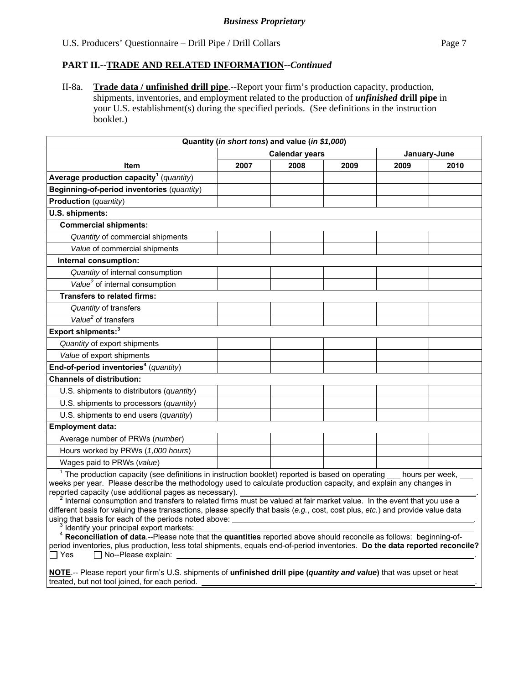II-8a. **Trade data / unfinished drill pipe**.--Report your firm's production capacity, production, shipments, inventories, and employment related to the production of *unfinished* **drill pipe** in your U.S. establishment(s) during the specified periods. (See definitions in the instruction booklet.)

| Quantity (in short tons) and value (in \$1,000)                                                                                                                                                                                                                                                                                                                                                                                                                                                                                                                                                                                                                                                                                                                                                                                                                                                                                                              |      |                       |      |                 |              |
|--------------------------------------------------------------------------------------------------------------------------------------------------------------------------------------------------------------------------------------------------------------------------------------------------------------------------------------------------------------------------------------------------------------------------------------------------------------------------------------------------------------------------------------------------------------------------------------------------------------------------------------------------------------------------------------------------------------------------------------------------------------------------------------------------------------------------------------------------------------------------------------------------------------------------------------------------------------|------|-----------------------|------|-----------------|--------------|
|                                                                                                                                                                                                                                                                                                                                                                                                                                                                                                                                                                                                                                                                                                                                                                                                                                                                                                                                                              |      | <b>Calendar years</b> |      |                 | January-June |
| <b>Item</b>                                                                                                                                                                                                                                                                                                                                                                                                                                                                                                                                                                                                                                                                                                                                                                                                                                                                                                                                                  | 2007 | 2008                  | 2009 | 2009            | 2010         |
| Average production capacity <sup>1</sup> (quantity)                                                                                                                                                                                                                                                                                                                                                                                                                                                                                                                                                                                                                                                                                                                                                                                                                                                                                                          |      |                       |      |                 |              |
| Beginning-of-period inventories (quantity)                                                                                                                                                                                                                                                                                                                                                                                                                                                                                                                                                                                                                                                                                                                                                                                                                                                                                                                   |      |                       |      |                 |              |
| Production (quantity)                                                                                                                                                                                                                                                                                                                                                                                                                                                                                                                                                                                                                                                                                                                                                                                                                                                                                                                                        |      |                       |      |                 |              |
| U.S. shipments:                                                                                                                                                                                                                                                                                                                                                                                                                                                                                                                                                                                                                                                                                                                                                                                                                                                                                                                                              |      |                       |      |                 |              |
| <b>Commercial shipments:</b>                                                                                                                                                                                                                                                                                                                                                                                                                                                                                                                                                                                                                                                                                                                                                                                                                                                                                                                                 |      |                       |      |                 |              |
| Quantity of commercial shipments                                                                                                                                                                                                                                                                                                                                                                                                                                                                                                                                                                                                                                                                                                                                                                                                                                                                                                                             |      |                       |      |                 |              |
| Value of commercial shipments                                                                                                                                                                                                                                                                                                                                                                                                                                                                                                                                                                                                                                                                                                                                                                                                                                                                                                                                |      |                       |      |                 |              |
| Internal consumption:                                                                                                                                                                                                                                                                                                                                                                                                                                                                                                                                                                                                                                                                                                                                                                                                                                                                                                                                        |      |                       |      |                 |              |
| Quantity of internal consumption                                                                                                                                                                                                                                                                                                                                                                                                                                                                                                                                                                                                                                                                                                                                                                                                                                                                                                                             |      |                       |      |                 |              |
| Value <sup>2</sup> of internal consumption                                                                                                                                                                                                                                                                                                                                                                                                                                                                                                                                                                                                                                                                                                                                                                                                                                                                                                                   |      |                       |      |                 |              |
| <b>Transfers to related firms:</b>                                                                                                                                                                                                                                                                                                                                                                                                                                                                                                                                                                                                                                                                                                                                                                                                                                                                                                                           |      |                       |      |                 |              |
| Quantity of transfers                                                                                                                                                                                                                                                                                                                                                                                                                                                                                                                                                                                                                                                                                                                                                                                                                                                                                                                                        |      |                       |      |                 |              |
| Value <sup>2</sup> of transfers                                                                                                                                                                                                                                                                                                                                                                                                                                                                                                                                                                                                                                                                                                                                                                                                                                                                                                                              |      |                       |      |                 |              |
| Export shipments: <sup>3</sup>                                                                                                                                                                                                                                                                                                                                                                                                                                                                                                                                                                                                                                                                                                                                                                                                                                                                                                                               |      |                       |      |                 |              |
| Quantity of export shipments                                                                                                                                                                                                                                                                                                                                                                                                                                                                                                                                                                                                                                                                                                                                                                                                                                                                                                                                 |      |                       |      |                 |              |
| Value of export shipments                                                                                                                                                                                                                                                                                                                                                                                                                                                                                                                                                                                                                                                                                                                                                                                                                                                                                                                                    |      |                       |      |                 |              |
| End-of-period inventories <sup>4</sup> (quantity)                                                                                                                                                                                                                                                                                                                                                                                                                                                                                                                                                                                                                                                                                                                                                                                                                                                                                                            |      |                       |      |                 |              |
| <b>Channels of distribution:</b>                                                                                                                                                                                                                                                                                                                                                                                                                                                                                                                                                                                                                                                                                                                                                                                                                                                                                                                             |      |                       |      |                 |              |
| U.S. shipments to distributors (quantity)                                                                                                                                                                                                                                                                                                                                                                                                                                                                                                                                                                                                                                                                                                                                                                                                                                                                                                                    |      |                       |      |                 |              |
| U.S. shipments to processors (quantity)                                                                                                                                                                                                                                                                                                                                                                                                                                                                                                                                                                                                                                                                                                                                                                                                                                                                                                                      |      |                       |      |                 |              |
| U.S. shipments to end users (quantity)                                                                                                                                                                                                                                                                                                                                                                                                                                                                                                                                                                                                                                                                                                                                                                                                                                                                                                                       |      |                       |      |                 |              |
| <b>Employment data:</b>                                                                                                                                                                                                                                                                                                                                                                                                                                                                                                                                                                                                                                                                                                                                                                                                                                                                                                                                      |      |                       |      |                 |              |
| Average number of PRWs (number)                                                                                                                                                                                                                                                                                                                                                                                                                                                                                                                                                                                                                                                                                                                                                                                                                                                                                                                              |      |                       |      |                 |              |
| Hours worked by PRWs (1,000 hours)                                                                                                                                                                                                                                                                                                                                                                                                                                                                                                                                                                                                                                                                                                                                                                                                                                                                                                                           |      |                       |      |                 |              |
| Wages paid to PRWs (value)                                                                                                                                                                                                                                                                                                                                                                                                                                                                                                                                                                                                                                                                                                                                                                                                                                                                                                                                   |      |                       |      |                 |              |
| $1$ The production capacity (see definitions in instruction booklet) reported is based on operating<br>weeks per year. Please describe the methodology used to calculate production capacity, and explain any changes in<br>reported capacity (use additional pages as necessary).<br>$^2$ Internal consumption and transfers to related firms must be valued at fair market value. In the event that you use a<br>different basis for valuing these transactions, please specify that basis (e.g., cost, cost plus, etc.) and provide value data<br>using that basis for each of the periods noted above:<br>Identify your principal export markets:<br><sup>4</sup> Reconciliation of data .-- Please note that the quantities reported above should reconcile as follows: beginning-of-<br>period inventories, plus production, less total shipments, equals end-of-period inventories. Do the data reported reconcile?<br>□ No--Please explain:<br>∏ Yes |      |                       |      | hours per week, |              |

**NOTE**.-- Please report your firm's U.S. shipments of **unfinished drill pipe (***quantity and value***)** that was upset or heat treated, but not tool joined, for each period. .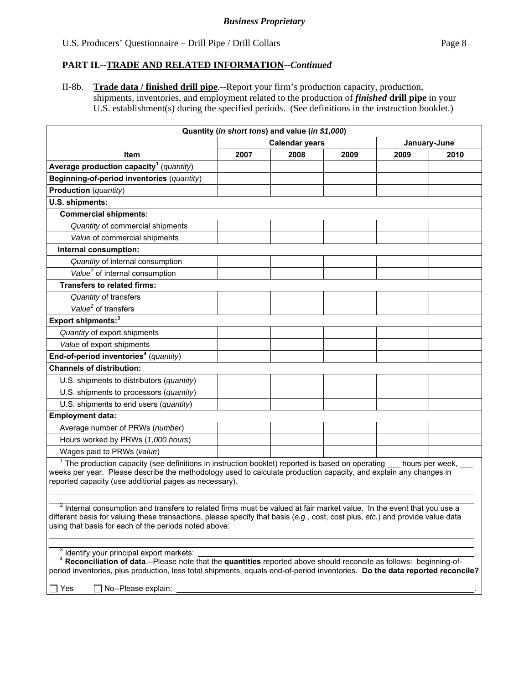II-8b. **Trade data / finished drill pipe**.--Report your firm's production capacity, production, shipments, inventories, and employment related to the production of *finished* **drill pipe** in your U.S. establishment(s) during the specified periods. (See definitions in the instruction booklet.)

| Quantity (in short tons) and value (in \$1,000)                                                                                                                                                                                                                                                                                                       |                       |      |      |      |              |  |
|-------------------------------------------------------------------------------------------------------------------------------------------------------------------------------------------------------------------------------------------------------------------------------------------------------------------------------------------------------|-----------------------|------|------|------|--------------|--|
|                                                                                                                                                                                                                                                                                                                                                       | <b>Calendar years</b> |      |      |      | January-June |  |
| ltem                                                                                                                                                                                                                                                                                                                                                  | 2007                  | 2008 | 2009 | 2009 | 2010         |  |
| Average production capacity <sup>1</sup> (quantity)                                                                                                                                                                                                                                                                                                   |                       |      |      |      |              |  |
| Beginning-of-period inventories (quantity)                                                                                                                                                                                                                                                                                                            |                       |      |      |      |              |  |
| Production (quantity)                                                                                                                                                                                                                                                                                                                                 |                       |      |      |      |              |  |
| U.S. shipments:                                                                                                                                                                                                                                                                                                                                       |                       |      |      |      |              |  |
| <b>Commercial shipments:</b>                                                                                                                                                                                                                                                                                                                          |                       |      |      |      |              |  |
| Quantity of commercial shipments                                                                                                                                                                                                                                                                                                                      |                       |      |      |      |              |  |
| Value of commercial shipments                                                                                                                                                                                                                                                                                                                         |                       |      |      |      |              |  |
| Internal consumption:                                                                                                                                                                                                                                                                                                                                 |                       |      |      |      |              |  |
| Quantity of internal consumption                                                                                                                                                                                                                                                                                                                      |                       |      |      |      |              |  |
| Value <sup>2</sup> of internal consumption                                                                                                                                                                                                                                                                                                            |                       |      |      |      |              |  |
| <b>Transfers to related firms:</b>                                                                                                                                                                                                                                                                                                                    |                       |      |      |      |              |  |
| Quantity of transfers                                                                                                                                                                                                                                                                                                                                 |                       |      |      |      |              |  |
| Value <sup>2</sup> of transfers                                                                                                                                                                                                                                                                                                                       |                       |      |      |      |              |  |
| Export shipments: <sup>3</sup>                                                                                                                                                                                                                                                                                                                        |                       |      |      |      |              |  |
| Quantity of export shipments                                                                                                                                                                                                                                                                                                                          |                       |      |      |      |              |  |
| Value of export shipments                                                                                                                                                                                                                                                                                                                             |                       |      |      |      |              |  |
| End-of-period inventories <sup>4</sup> (quantity)                                                                                                                                                                                                                                                                                                     |                       |      |      |      |              |  |
| <b>Channels of distribution:</b>                                                                                                                                                                                                                                                                                                                      |                       |      |      |      |              |  |
| U.S. shipments to distributors (quantity)                                                                                                                                                                                                                                                                                                             |                       |      |      |      |              |  |
| U.S. shipments to processors (quantity)                                                                                                                                                                                                                                                                                                               |                       |      |      |      |              |  |
| U.S. shipments to end users (quantity)                                                                                                                                                                                                                                                                                                                |                       |      |      |      |              |  |
| <b>Employment data:</b>                                                                                                                                                                                                                                                                                                                               |                       |      |      |      |              |  |
| Average number of PRWs (number)                                                                                                                                                                                                                                                                                                                       |                       |      |      |      |              |  |
| Hours worked by PRWs (1,000 hours)                                                                                                                                                                                                                                                                                                                    |                       |      |      |      |              |  |
| Wages paid to PRWs (value)                                                                                                                                                                                                                                                                                                                            |                       |      |      |      |              |  |
| $1$ The production capacity (see definitions in instruction booklet) reported is based on operating $\_\_$ hours per week, $\_\_$<br>weeks per year. Please describe the methodology used to calculate production capacity, and explain any changes in<br>reported capacity (use additional pages as necessary).                                      |                       |      |      |      |              |  |
| $2$ Internal consumption and transfers to related firms must be valued at fair market value. In the event that you use a<br>different basis for valuing these transactions, please specify that basis (e.g., cost, cost plus, etc.) and provide value data<br>using that basis for each of the periods noted above:                                   |                       |      |      |      |              |  |
| <sup>3</sup> Identify your principal export markets:<br><sup>4</sup> Reconciliation of data.--Please note that the quantities reported above should reconcile as follows: beginning-of-<br>period inventories, plus production, less total shipments, equals end-of-period inventories. Do the data reported reconcile?<br>No--Please explain:<br>Yes |                       |      |      |      |              |  |
|                                                                                                                                                                                                                                                                                                                                                       |                       |      |      |      |              |  |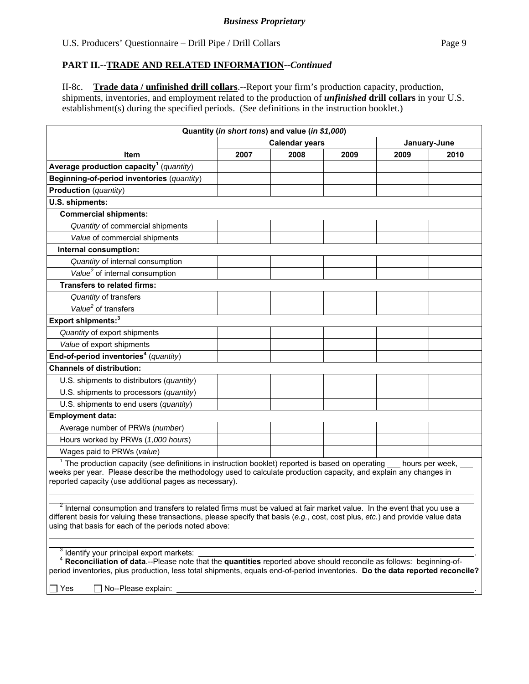II-8c. **Trade data / unfinished drill collars**.--Report your firm's production capacity, production, shipments, inventories, and employment related to the production of *unfinished* **drill collars** in your U.S. establishment(s) during the specified periods. (See definitions in the instruction booklet.)

|                                                                                                                                                                                                                                                                                                                                                              |      | Quantity (in short tons) and value (in \$1,000) |      |              |      |
|--------------------------------------------------------------------------------------------------------------------------------------------------------------------------------------------------------------------------------------------------------------------------------------------------------------------------------------------------------------|------|-------------------------------------------------|------|--------------|------|
|                                                                                                                                                                                                                                                                                                                                                              |      | <b>Calendar years</b>                           |      | January-June |      |
| <b>Item</b>                                                                                                                                                                                                                                                                                                                                                  | 2007 | 2008                                            | 2009 | 2009         | 2010 |
| Average production capacity <sup>1</sup> (quantity)                                                                                                                                                                                                                                                                                                          |      |                                                 |      |              |      |
| Beginning-of-period inventories (quantity)                                                                                                                                                                                                                                                                                                                   |      |                                                 |      |              |      |
| <b>Production</b> (quantity)                                                                                                                                                                                                                                                                                                                                 |      |                                                 |      |              |      |
| U.S. shipments:                                                                                                                                                                                                                                                                                                                                              |      |                                                 |      |              |      |
| <b>Commercial shipments:</b>                                                                                                                                                                                                                                                                                                                                 |      |                                                 |      |              |      |
| Quantity of commercial shipments                                                                                                                                                                                                                                                                                                                             |      |                                                 |      |              |      |
| Value of commercial shipments                                                                                                                                                                                                                                                                                                                                |      |                                                 |      |              |      |
| Internal consumption:                                                                                                                                                                                                                                                                                                                                        |      |                                                 |      |              |      |
| Quantity of internal consumption                                                                                                                                                                                                                                                                                                                             |      |                                                 |      |              |      |
| Value <sup>2</sup> of internal consumption                                                                                                                                                                                                                                                                                                                   |      |                                                 |      |              |      |
| <b>Transfers to related firms:</b>                                                                                                                                                                                                                                                                                                                           |      |                                                 |      |              |      |
| Quantity of transfers                                                                                                                                                                                                                                                                                                                                        |      |                                                 |      |              |      |
| Value <sup>2</sup> of transfers                                                                                                                                                                                                                                                                                                                              |      |                                                 |      |              |      |
| Export shipments: <sup>3</sup>                                                                                                                                                                                                                                                                                                                               |      |                                                 |      |              |      |
| Quantity of export shipments                                                                                                                                                                                                                                                                                                                                 |      |                                                 |      |              |      |
| Value of export shipments                                                                                                                                                                                                                                                                                                                                    |      |                                                 |      |              |      |
| End-of-period inventories <sup>4</sup> (quantity)                                                                                                                                                                                                                                                                                                            |      |                                                 |      |              |      |
| <b>Channels of distribution:</b>                                                                                                                                                                                                                                                                                                                             |      |                                                 |      |              |      |
| U.S. shipments to distributors (quantity)                                                                                                                                                                                                                                                                                                                    |      |                                                 |      |              |      |
| U.S. shipments to processors (quantity)                                                                                                                                                                                                                                                                                                                      |      |                                                 |      |              |      |
| U.S. shipments to end users (quantity)                                                                                                                                                                                                                                                                                                                       |      |                                                 |      |              |      |
| <b>Employment data:</b>                                                                                                                                                                                                                                                                                                                                      |      |                                                 |      |              |      |
| Average number of PRWs (number)                                                                                                                                                                                                                                                                                                                              |      |                                                 |      |              |      |
| Hours worked by PRWs (1,000 hours)                                                                                                                                                                                                                                                                                                                           |      |                                                 |      |              |      |
| Wages paid to PRWs (value)                                                                                                                                                                                                                                                                                                                                   |      |                                                 |      |              |      |
| $1$ The production capacity (see definitions in instruction booklet) reported is based on operating $\_\_$ hours per week, $\_\_$<br>weeks per year. Please describe the methodology used to calculate production capacity, and explain any changes in<br>reported capacity (use additional pages as necessary).                                             |      |                                                 |      |              |      |
| <sup>2</sup> Internal consumption and transfers to related firms must be valued at fair market value. In the event that you use a<br>different basis for valuing these transactions, please specify that basis (e.g., cost, cost plus, etc.) and provide value data<br>using that basis for each of the periods noted above:                                 |      |                                                 |      |              |      |
| <sup>3</sup> Identify your principal export markets:<br><sup>4</sup> Reconciliation of data.--Please note that the quantities reported above should reconcile as follows: beginning-of-<br>period inventories, plus production, less total shipments, equals end-of-period inventories. Do the data reported reconcile?<br>$\Box$ No--Please explain:<br>Yes |      | <u> 1989 - Johann Stein, fransk politik (</u>   |      |              |      |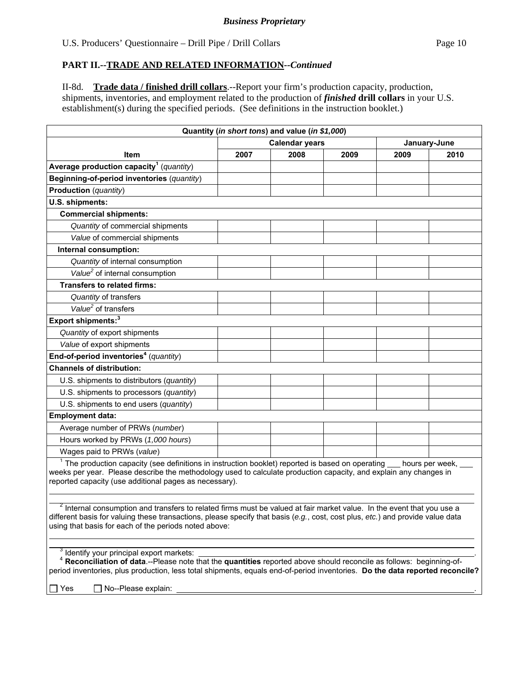II-8d. **Trade data / finished drill collars**.--Report your firm's production capacity, production, shipments, inventories, and employment related to the production of *finished* **drill collars** in your U.S. establishment(s) during the specified periods. (See definitions in the instruction booklet.)

|                                                                                                                                                                                                                                                                                                                                                                     |      | Quantity (in short tons) and value (in \$1,000) |      |      |              |
|---------------------------------------------------------------------------------------------------------------------------------------------------------------------------------------------------------------------------------------------------------------------------------------------------------------------------------------------------------------------|------|-------------------------------------------------|------|------|--------------|
|                                                                                                                                                                                                                                                                                                                                                                     |      | <b>Calendar years</b>                           |      |      | January-June |
| Item                                                                                                                                                                                                                                                                                                                                                                | 2007 | 2008                                            | 2009 | 2009 | 2010         |
| Average production capacity <sup>1</sup> (quantity)                                                                                                                                                                                                                                                                                                                 |      |                                                 |      |      |              |
| Beginning-of-period inventories (quantity)                                                                                                                                                                                                                                                                                                                          |      |                                                 |      |      |              |
| <b>Production</b> (quantity)                                                                                                                                                                                                                                                                                                                                        |      |                                                 |      |      |              |
| U.S. shipments:                                                                                                                                                                                                                                                                                                                                                     |      |                                                 |      |      |              |
| <b>Commercial shipments:</b>                                                                                                                                                                                                                                                                                                                                        |      |                                                 |      |      |              |
| Quantity of commercial shipments                                                                                                                                                                                                                                                                                                                                    |      |                                                 |      |      |              |
| Value of commercial shipments                                                                                                                                                                                                                                                                                                                                       |      |                                                 |      |      |              |
| Internal consumption:                                                                                                                                                                                                                                                                                                                                               |      |                                                 |      |      |              |
| Quantity of internal consumption                                                                                                                                                                                                                                                                                                                                    |      |                                                 |      |      |              |
| Value <sup>2</sup> of internal consumption                                                                                                                                                                                                                                                                                                                          |      |                                                 |      |      |              |
| <b>Transfers to related firms:</b>                                                                                                                                                                                                                                                                                                                                  |      |                                                 |      |      |              |
| Quantity of transfers                                                                                                                                                                                                                                                                                                                                               |      |                                                 |      |      |              |
| Value <sup>2</sup> of transfers                                                                                                                                                                                                                                                                                                                                     |      |                                                 |      |      |              |
| Export shipments: <sup>3</sup>                                                                                                                                                                                                                                                                                                                                      |      |                                                 |      |      |              |
| Quantity of export shipments                                                                                                                                                                                                                                                                                                                                        |      |                                                 |      |      |              |
| Value of export shipments                                                                                                                                                                                                                                                                                                                                           |      |                                                 |      |      |              |
| End-of-period inventories <sup>4</sup> (quantity)                                                                                                                                                                                                                                                                                                                   |      |                                                 |      |      |              |
| <b>Channels of distribution:</b>                                                                                                                                                                                                                                                                                                                                    |      |                                                 |      |      |              |
| U.S. shipments to distributors (quantity)                                                                                                                                                                                                                                                                                                                           |      |                                                 |      |      |              |
| U.S. shipments to processors (quantity)                                                                                                                                                                                                                                                                                                                             |      |                                                 |      |      |              |
| U.S. shipments to end users (quantity)                                                                                                                                                                                                                                                                                                                              |      |                                                 |      |      |              |
| <b>Employment data:</b>                                                                                                                                                                                                                                                                                                                                             |      |                                                 |      |      |              |
| Average number of PRWs (number)                                                                                                                                                                                                                                                                                                                                     |      |                                                 |      |      |              |
| Hours worked by PRWs (1,000 hours)                                                                                                                                                                                                                                                                                                                                  |      |                                                 |      |      |              |
| Wages paid to PRWs (value)                                                                                                                                                                                                                                                                                                                                          |      |                                                 |      |      |              |
| $1$ The production capacity (see definitions in instruction booklet) reported is based on operating $\_\_$ hours per week, $\_\_$<br>weeks per year. Please describe the methodology used to calculate production capacity, and explain any changes in<br>reported capacity (use additional pages as necessary).                                                    |      |                                                 |      |      |              |
| $2$ Internal consumption and transfers to related firms must be valued at fair market value. In the event that you use a<br>different basis for valuing these transactions, please specify that basis (e.g., cost, cost plus, etc.) and provide value data<br>using that basis for each of the periods noted above:                                                 |      |                                                 |      |      |              |
| <sup>3</sup> Identify your principal export markets:<br><sup>4</sup> Reconciliation of data .-- Please note that the quantities reported above should reconcile as follows: beginning-of-<br>period inventories, plus production, less total shipments, equals end-of-period inventories. Do the data reported reconcile?<br>$\exists$ Yes<br>□ No--Please explain: |      |                                                 |      |      |              |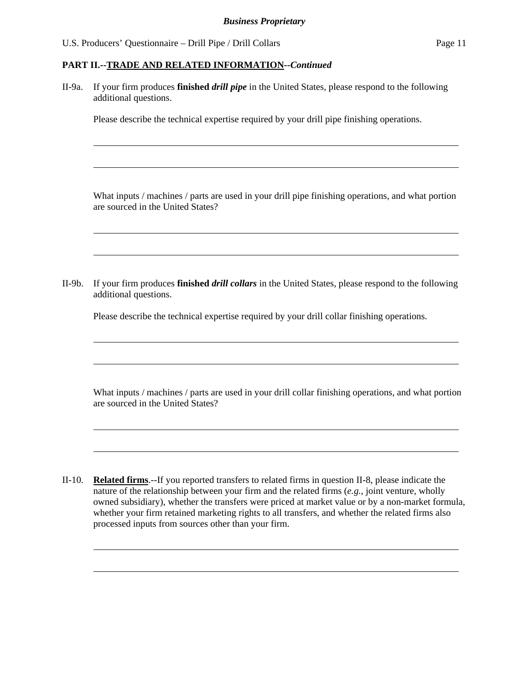l

 $\overline{a}$ 

 $\overline{a}$ 

 $\overline{a}$ 

 $\overline{a}$ 

 $\overline{a}$ 

 $\overline{a}$ 

 $\overline{a}$ 

 $\overline{a}$ 

 $\overline{a}$ 

# **PART II.--TRADE AND RELATED INFORMATION***--Continued*

II-9a. If your firm produces **finished** *drill pipe* in the United States, please respond to the following additional questions.

Please describe the technical expertise required by your drill pipe finishing operations.

What inputs / machines / parts are used in your drill pipe finishing operations, and what portion are sourced in the United States?

II-9b. If your firm produces **finished** *drill collars* in the United States, please respond to the following additional questions.

Please describe the technical expertise required by your drill collar finishing operations.

What inputs / machines / parts are used in your drill collar finishing operations, and what portion are sourced in the United States?

II-10. **Related firms**.--If you reported transfers to related firms in question II-8, please indicate the nature of the relationship between your firm and the related firms (*e.g.*, joint venture, wholly owned subsidiary), whether the transfers were priced at market value or by a non-market formula, whether your firm retained marketing rights to all transfers, and whether the related firms also processed inputs from sources other than your firm.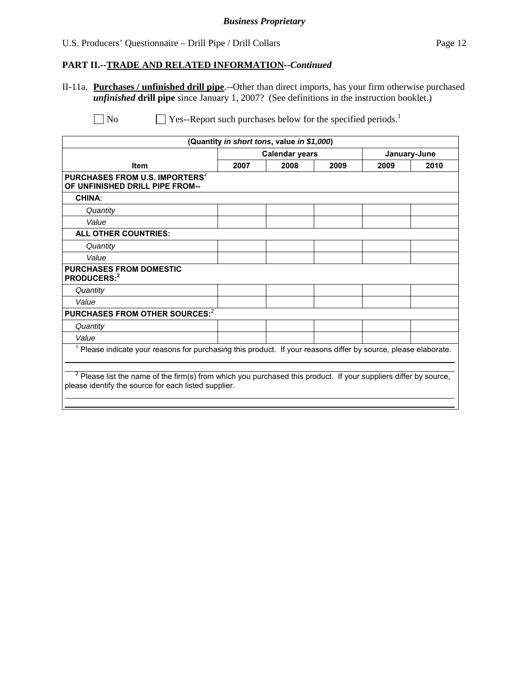# U.S. Producers' Questionnaire – Drill Pipe / Drill Collars Page 12

#### **PART II.--TRADE AND RELATED INFORMATION***--Continued*

II-11a. **Purchases / unfinished drill pipe**.--Other than direct imports, has your firm otherwise purchased *unfinished* **drill pipe** since January 1, 2007? (See definitions in the instruction booklet.)

|                                                                                                                                                                            |      | (Quantity in short tons, value in \$1,000) |      |              |      |
|----------------------------------------------------------------------------------------------------------------------------------------------------------------------------|------|--------------------------------------------|------|--------------|------|
|                                                                                                                                                                            |      | <b>Calendar years</b>                      |      | January-June |      |
| <b>Item</b>                                                                                                                                                                | 2007 | 2008                                       | 2009 | 2009         | 2010 |
| PURCHASES FROM U.S. IMPORTERS <sup>2</sup><br>OF UNFINISHED DRILL PIPE FROM--                                                                                              |      |                                            |      |              |      |
| <b>CHINA:</b>                                                                                                                                                              |      |                                            |      |              |      |
| Quantity                                                                                                                                                                   |      |                                            |      |              |      |
| Value                                                                                                                                                                      |      |                                            |      |              |      |
| <b>ALL OTHER COUNTRIES:</b>                                                                                                                                                |      |                                            |      |              |      |
| Quantity                                                                                                                                                                   |      |                                            |      |              |      |
| Value                                                                                                                                                                      |      |                                            |      |              |      |
| <b>PURCHASES FROM DOMESTIC</b><br>PRODUCERS:2                                                                                                                              |      |                                            |      |              |      |
| Quantity                                                                                                                                                                   |      |                                            |      |              |      |
| Value                                                                                                                                                                      |      |                                            |      |              |      |
| PURCHASES FROM OTHER SOURCES: <sup>2</sup>                                                                                                                                 |      |                                            |      |              |      |
| Quantity                                                                                                                                                                   |      |                                            |      |              |      |
| Value                                                                                                                                                                      |      |                                            |      |              |      |
| Please indicate your reasons for purchasing this product. If your reasons differ by source, please elaborate.                                                              |      |                                            |      |              |      |
| $2$ Please list the name of the firm(s) from which you purchased this product. If your suppliers differ by source,<br>please identify the source for each listed supplier. |      |                                            |      |              |      |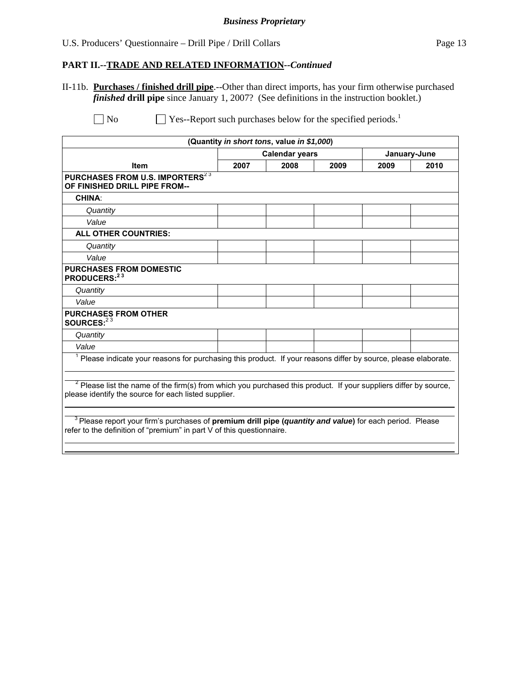# U.S. Producers' Questionnaire – Drill Pipe / Drill Collars Page 13

# **PART II.--TRADE AND RELATED INFORMATION***--Continued*

II-11b. **Purchases / finished drill pipe**.--Other than direct imports, has your firm otherwise purchased *finished* **drill pipe** since January 1, 2007? (See definitions in the instruction booklet.)

|                                                                                                                                                                                     |      | (Quantity in short tons, value in \$1,000) |      |      |              |
|-------------------------------------------------------------------------------------------------------------------------------------------------------------------------------------|------|--------------------------------------------|------|------|--------------|
|                                                                                                                                                                                     |      | <b>Calendar years</b>                      |      |      | January-June |
| <b>Item</b>                                                                                                                                                                         | 2007 | 2008                                       | 2009 | 2009 | 2010         |
| PURCHASES FROM U.S. IMPORTERS <sup>23</sup><br>OF FINISHED DRILL PIPE FROM--                                                                                                        |      |                                            |      |      |              |
| <b>CHINA:</b>                                                                                                                                                                       |      |                                            |      |      |              |
| Quantity                                                                                                                                                                            |      |                                            |      |      |              |
| Value                                                                                                                                                                               |      |                                            |      |      |              |
| <b>ALL OTHER COUNTRIES:</b>                                                                                                                                                         |      |                                            |      |      |              |
| Quantity                                                                                                                                                                            |      |                                            |      |      |              |
| Value                                                                                                                                                                               |      |                                            |      |      |              |
| <b>PURCHASES FROM DOMESTIC</b><br>PRODUCERS: $23$                                                                                                                                   |      |                                            |      |      |              |
| Quantity                                                                                                                                                                            |      |                                            |      |      |              |
| Value                                                                                                                                                                               |      |                                            |      |      |              |
| <b>PURCHASES FROM OTHER</b><br>SOURCES: $23$                                                                                                                                        |      |                                            |      |      |              |
| Quantity                                                                                                                                                                            |      |                                            |      |      |              |
| Value                                                                                                                                                                               |      |                                            |      |      |              |
| <sup>1</sup> Please indicate your reasons for purchasing this product. If your reasons differ by source, please elaborate.                                                          |      |                                            |      |      |              |
| <sup>2</sup> Please list the name of the firm(s) from which you purchased this product. If your suppliers differ by source,<br>please identify the source for each listed supplier. |      |                                            |      |      |              |
| $3$ Please report your firm's purchases of premium drill pipe (quantity and value) for each period. Please<br>refer to the definition of "premium" in part V of this questionnaire. |      |                                            |      |      |              |
|                                                                                                                                                                                     |      |                                            |      |      |              |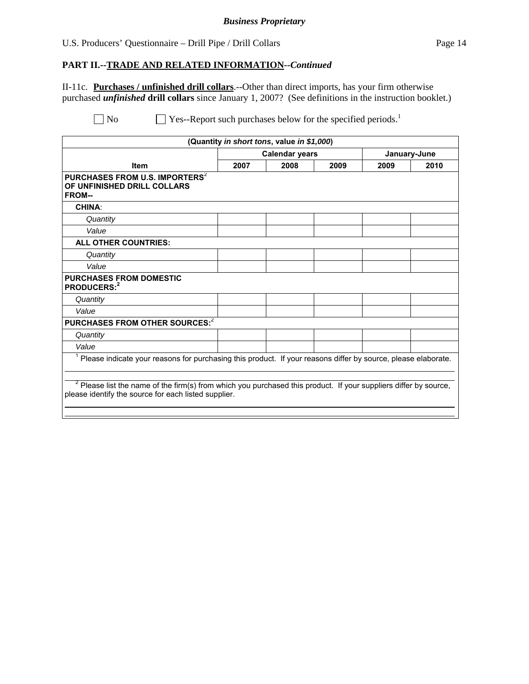#### U.S. Producers' Questionnaire – Drill Pipe / Drill Collars Page 14

#### **PART II.--TRADE AND RELATED INFORMATION***--Continued*

II-11c. **Purchases / unfinished drill collars**.--Other than direct imports, has your firm otherwise purchased *unfinished* **drill collars** since January 1, 2007? (See definitions in the instruction booklet.)

| <b>Calendar years</b>                                |      |      | January-June                               |                                                                                                                                                                                                                                                  |
|------------------------------------------------------|------|------|--------------------------------------------|--------------------------------------------------------------------------------------------------------------------------------------------------------------------------------------------------------------------------------------------------|
| 2007                                                 | 2008 | 2009 | 2009                                       | 2010                                                                                                                                                                                                                                             |
|                                                      |      |      |                                            |                                                                                                                                                                                                                                                  |
|                                                      |      |      |                                            |                                                                                                                                                                                                                                                  |
|                                                      |      |      |                                            |                                                                                                                                                                                                                                                  |
|                                                      |      |      |                                            |                                                                                                                                                                                                                                                  |
|                                                      |      |      |                                            |                                                                                                                                                                                                                                                  |
|                                                      |      |      |                                            |                                                                                                                                                                                                                                                  |
|                                                      |      |      |                                            |                                                                                                                                                                                                                                                  |
|                                                      |      |      |                                            |                                                                                                                                                                                                                                                  |
|                                                      |      |      |                                            |                                                                                                                                                                                                                                                  |
|                                                      |      |      |                                            |                                                                                                                                                                                                                                                  |
|                                                      |      |      |                                            |                                                                                                                                                                                                                                                  |
|                                                      |      |      |                                            |                                                                                                                                                                                                                                                  |
|                                                      |      |      |                                            |                                                                                                                                                                                                                                                  |
|                                                      |      |      |                                            |                                                                                                                                                                                                                                                  |
| please identify the source for each listed supplier. |      |      |                                            |                                                                                                                                                                                                                                                  |
|                                                      |      |      | (Quantity in short tons, value in \$1,000) | <sup>1</sup> Please indicate your reasons for purchasing this product. If your reasons differ by source, please elaborate.<br>$2$ Please list the name of the firm(s) from which you purchased this product. If your suppliers differ by source, |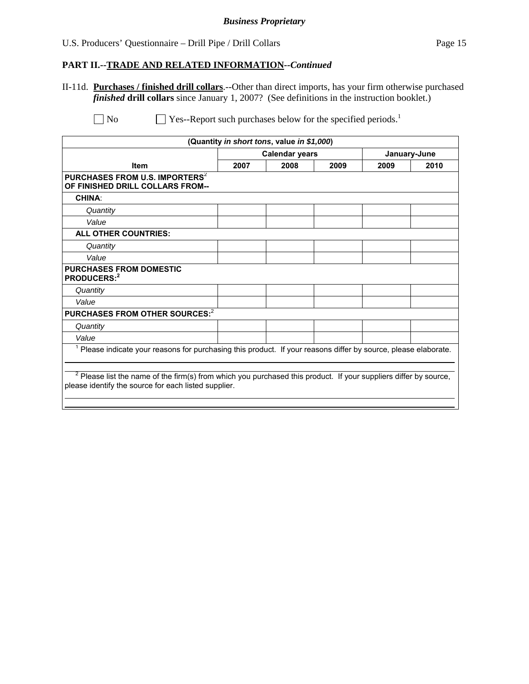# U.S. Producers' Questionnaire – Drill Pipe / Drill Collars Page 15

#### **PART II.--TRADE AND RELATED INFORMATION***--Continued*

II-11d. **Purchases / finished drill collars**.--Other than direct imports, has your firm otherwise purchased *finished* **drill collars** since January 1, 2007? (See definitions in the instruction booklet.)

|                                                                                                                                                                            |      | (Quantity in short tons, value in \$1,000) |      |      |              |
|----------------------------------------------------------------------------------------------------------------------------------------------------------------------------|------|--------------------------------------------|------|------|--------------|
|                                                                                                                                                                            |      | <b>Calendar years</b>                      |      |      | January-June |
| <b>Item</b>                                                                                                                                                                | 2007 | 2008                                       | 2009 | 2009 | 2010         |
| PURCHASES FROM U.S. IMPORTERS <sup>2</sup><br>OF FINISHED DRILL COLLARS FROM--                                                                                             |      |                                            |      |      |              |
| <b>CHINA:</b>                                                                                                                                                              |      |                                            |      |      |              |
| Quantity                                                                                                                                                                   |      |                                            |      |      |              |
| Value                                                                                                                                                                      |      |                                            |      |      |              |
| ALL OTHER COUNTRIES:                                                                                                                                                       |      |                                            |      |      |              |
| Quantity                                                                                                                                                                   |      |                                            |      |      |              |
| Value                                                                                                                                                                      |      |                                            |      |      |              |
| <b>PURCHASES FROM DOMESTIC</b><br>PRODUCERS:2                                                                                                                              |      |                                            |      |      |              |
| Quantity                                                                                                                                                                   |      |                                            |      |      |              |
| Value                                                                                                                                                                      |      |                                            |      |      |              |
| PURCHASES FROM OTHER SOURCES: <sup>2</sup>                                                                                                                                 |      |                                            |      |      |              |
| Quantity                                                                                                                                                                   |      |                                            |      |      |              |
| Value                                                                                                                                                                      |      |                                            |      |      |              |
| Please indicate your reasons for purchasing this product. If your reasons differ by source, please elaborate.                                                              |      |                                            |      |      |              |
| $2$ Please list the name of the firm(s) from which you purchased this product. If your suppliers differ by source,<br>please identify the source for each listed supplier. |      |                                            |      |      |              |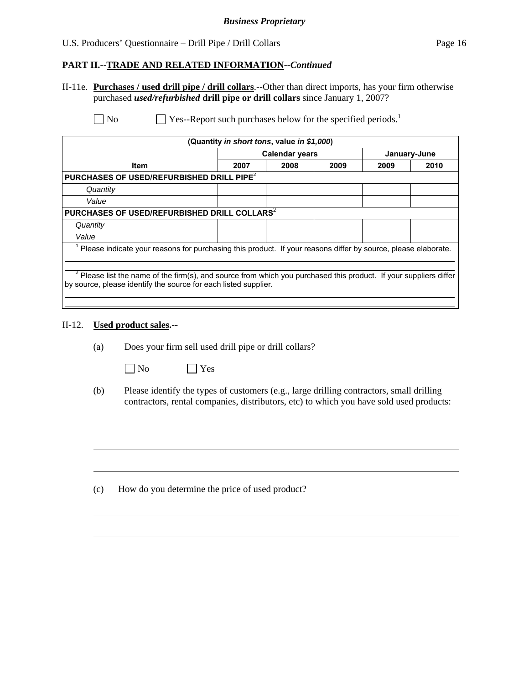#### **PART II.--TRADE AND RELATED INFORMATION***--Continued*

II-11e. **Purchases / used drill pipe / drill collars**.--Other than direct imports, has your firm otherwise purchased *used/refurbished* **drill pipe or drill collars** since January 1, 2007?

 $\Box$  No  $\Box$  Yes--Report such purchases below for the specified periods.<sup>1</sup>

|                                                                                                                                                                                    |      | (Quantity in short tons, value in \$1,000) |  |              |      |  |  |  |
|------------------------------------------------------------------------------------------------------------------------------------------------------------------------------------|------|--------------------------------------------|--|--------------|------|--|--|--|
|                                                                                                                                                                                    |      | <b>Calendar years</b>                      |  | January-June |      |  |  |  |
| <b>Item</b>                                                                                                                                                                        | 2007 | 2008<br>2009                               |  |              | 2010 |  |  |  |
| PURCHASES OF USED/REFURBISHED DRILL PIPE <sup>2</sup>                                                                                                                              |      |                                            |  |              |      |  |  |  |
| Quantity                                                                                                                                                                           |      |                                            |  |              |      |  |  |  |
| Value                                                                                                                                                                              |      |                                            |  |              |      |  |  |  |
| PURCHASES OF USED/REFURBISHED DRILL COLLARS <sup>2</sup>                                                                                                                           |      |                                            |  |              |      |  |  |  |
| Quantity                                                                                                                                                                           |      |                                            |  |              |      |  |  |  |
| Value                                                                                                                                                                              |      |                                            |  |              |      |  |  |  |
| Please indicate your reasons for purchasing this product. If your reasons differ by source, please elaborate.                                                                      |      |                                            |  |              |      |  |  |  |
|                                                                                                                                                                                    |      |                                            |  |              |      |  |  |  |
| Please list the name of the firm(s), and source from which you purchased this product. If your suppliers differ<br>by source, please identify the source for each listed supplier. |      |                                            |  |              |      |  |  |  |
|                                                                                                                                                                                    |      |                                            |  |              |      |  |  |  |

# II-12. **Used product sales.--**

 $\overline{a}$ 

(a) Does your firm sell used drill pipe or drill collars?

- No Yes
- (b) Please identify the types of customers (e.g., large drilling contractors, small drilling contractors, rental companies, distributors, etc) to which you have sold used products:

(c) How do you determine the price of used product?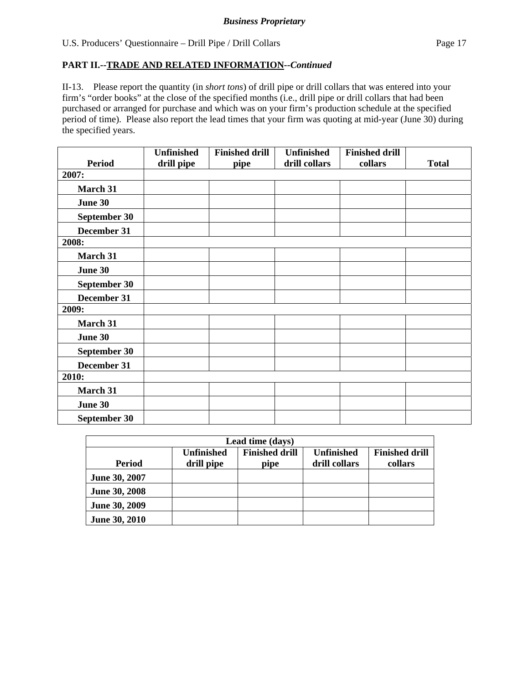II-13. Please report the quantity (in *short tons*) of drill pipe or drill collars that was entered into your firm's "order books" at the close of the specified months (i.e., drill pipe or drill collars that had been purchased or arranged for purchase and which was on your firm's production schedule at the specified period of time). Please also report the lead times that your firm was quoting at mid-year (June 30) during the specified years.

|               | <b>Unfinished</b> | <b>Finished drill</b> | <b>Unfinished</b> | <b>Finished drill</b> |              |
|---------------|-------------------|-----------------------|-------------------|-----------------------|--------------|
| <b>Period</b> | drill pipe        | pipe                  | drill collars     | collars               | <b>Total</b> |
| 2007:         |                   |                       |                   |                       |              |
| March 31      |                   |                       |                   |                       |              |
| June 30       |                   |                       |                   |                       |              |
| September 30  |                   |                       |                   |                       |              |
| December 31   |                   |                       |                   |                       |              |
| 2008:         |                   |                       |                   |                       |              |
| March 31      |                   |                       |                   |                       |              |
| June 30       |                   |                       |                   |                       |              |
| September 30  |                   |                       |                   |                       |              |
| December 31   |                   |                       |                   |                       |              |
| 2009:         |                   |                       |                   |                       |              |
| March 31      |                   |                       |                   |                       |              |
| June 30       |                   |                       |                   |                       |              |
| September 30  |                   |                       |                   |                       |              |
| December 31   |                   |                       |                   |                       |              |
| 2010:         |                   |                       |                   |                       |              |
| March 31      |                   |                       |                   |                       |              |
| June 30       |                   |                       |                   |                       |              |
| September 30  |                   |                       |                   |                       |              |

|               | Lead time (days)  |                       |                   |                       |  |  |  |  |  |
|---------------|-------------------|-----------------------|-------------------|-----------------------|--|--|--|--|--|
|               | <b>Unfinished</b> | <b>Finished drill</b> | <b>Unfinished</b> | <b>Finished drill</b> |  |  |  |  |  |
| <b>Period</b> | drill pipe        | pipe                  | drill collars     | collars               |  |  |  |  |  |
| June 30, 2007 |                   |                       |                   |                       |  |  |  |  |  |
| June 30, 2008 |                   |                       |                   |                       |  |  |  |  |  |
| June 30, 2009 |                   |                       |                   |                       |  |  |  |  |  |
| June 30, 2010 |                   |                       |                   |                       |  |  |  |  |  |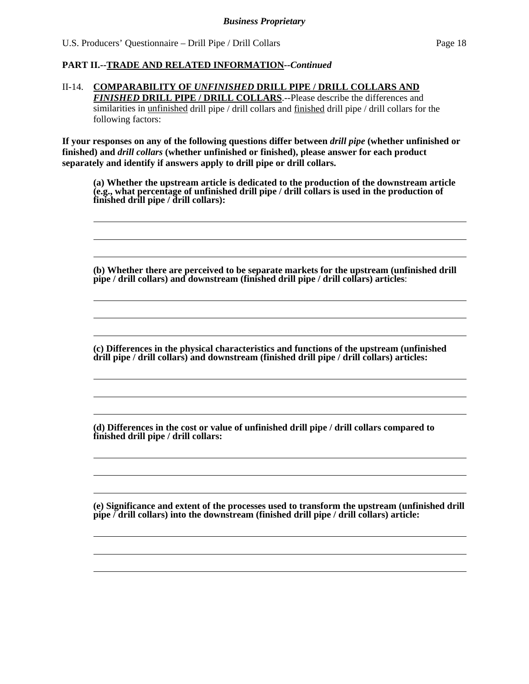#### II-14. **COMPARABILITY OF** *UNFINISHED* **DRILL PIPE / DRILL COLLARS AND**  *FINISHED* **DRILL PIPE / DRILL COLLARS**.--Please describe the differences and similarities in unfinished drill pipe / drill collars and finished drill pipe / drill collars for the following factors:

**If your responses on any of the following questions differ between** *drill pipe* **(whether unfinished or finished) and** *drill collars* **(whether unfinished or finished), please answer for each product separately and identify if answers apply to drill pipe or drill collars.** 

**(a) Whether the upstream article is dedicated to the production of the downstream article (e.g., what percentage of unfinished drill pipe / drill collars is used in the production of finished drill pipe / drill collars):** 

**(b) Whether there are perceived to be separate markets for the upstream (unfinished drill pipe / drill collars) and downstream (finished drill pipe / drill collars) articles**:

**(c) Differences in the physical characteristics and functions of the upstream (unfinished drill pipe / drill collars) and downstream (finished drill pipe / drill collars) articles:** 

**(d) Differences in the cost or value of unfinished drill pipe / drill collars compared to finished drill pipe / drill collars:** 

**(e) Significance and extent of the processes used to transform the upstream (unfinished drill pipe / drill collars) into the downstream (finished drill pipe / drill collars) article:**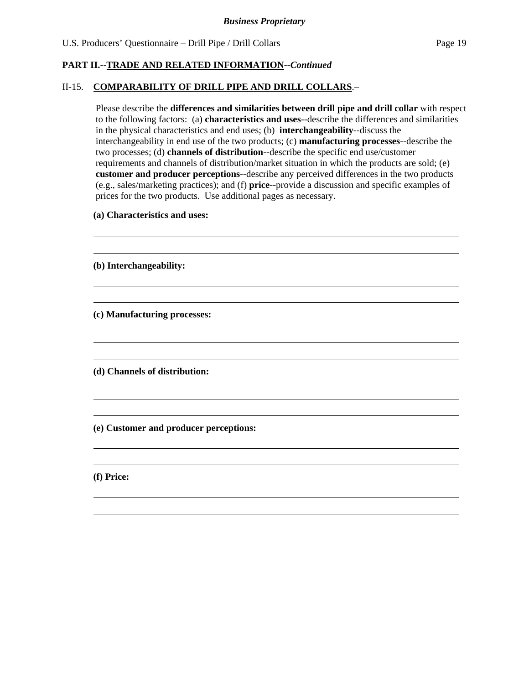#### II-15. **COMPARABILITY OF DRILL PIPE AND DRILL COLLARS**.–

 Please describe the **differences and similarities between drill pipe and drill collar** with respect to the following factors: (a) **characteristics and uses**--describe the differences and similarities in the physical characteristics and end uses; (b) **interchangeability**--discuss the interchangeability in end use of the two products; (c) **manufacturing processes**--describe the two processes; (d) **channels of distribution**--describe the specific end use/customer requirements and channels of distribution/market situation in which the products are sold; (e) **customer and producer perceptions**--describe any perceived differences in the two products (e.g., sales/marketing practices); and (f) **price**--provide a discussion and specific examples of prices for the two products. Use additional pages as necessary.

 **(a) Characteristics and uses:** 

**(b) Interchangeability:** 

**(c) Manufacturing processes:** 

**(d) Channels of distribution:** 

**(e) Customer and producer perceptions:** 

**(f) Price:**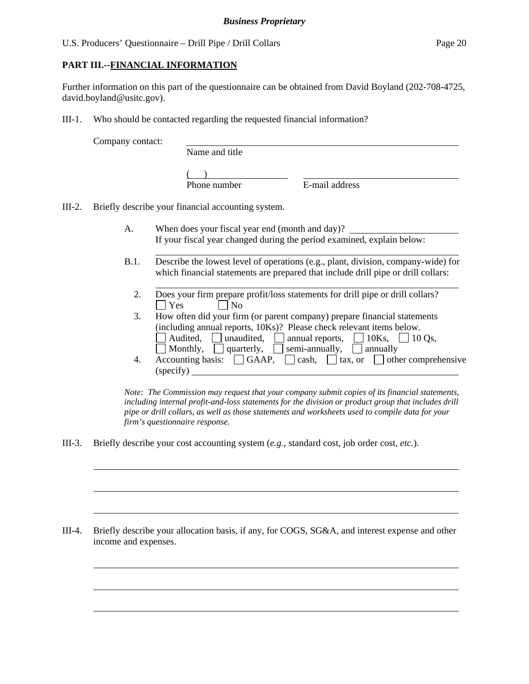# **PART III.--FINANCIAL INFORMATION**

Further information on this part of the questionnaire can be obtained from David Boyland (202-708-4725, david.boyland@usitc.gov).

III-1. Who should be contacted regarding the requested financial information?

Company contact:

l

 $\overline{a}$ 

 $\overline{a}$ 

 $\overline{a}$ 

 $\overline{a}$ 

 $\overline{a}$ 

Name and title

 $($ 

Phone number E-mail address

III-2. Briefly describe your financial accounting system.

l

- A. When does your fiscal year end (month and day)? If your fiscal year changed during the period examined, explain below:
- B.1. Describe the lowest level of operations (e.g., plant, division, company-wide) for which financial statements are prepared that include drill pipe or drill collars:
	- l 2. Does your firm prepare profit/loss statements for drill pipe or drill collars?  $\Box$  Yes  $\Box$  No
	- 3. How often did your firm (or parent company) prepare financial statements (including annual reports, 10Ks)? Please check relevant items below. Audited, unaudited, annual reports,  $\Box$  10Ks,  $\Box$  10 Qs, Monthly,  $\Box$  quarterly,  $\Box$  semi-annually,  $\Box$  annually
	- 4. Accounting basis:  $\Box$  GAAP,  $\Box$  cash,  $\Box$  tax, or  $\Box$  other comprehensive (specify)

*Note: The Commission may request that your company submit copies of its financial statements, including internal profit-and-loss statements for the division or product group that includes drill pipe or drill collars, as well as those statements and worksheets used to compile data for your firm's questionnaire response.* 

III-3. Briefly describe your cost accounting system (*e.g.*, standard cost, job order cost, *etc.*).

III-4. Briefly describe your allocation basis, if any, for COGS, SG&A, and interest expense and other income and expenses.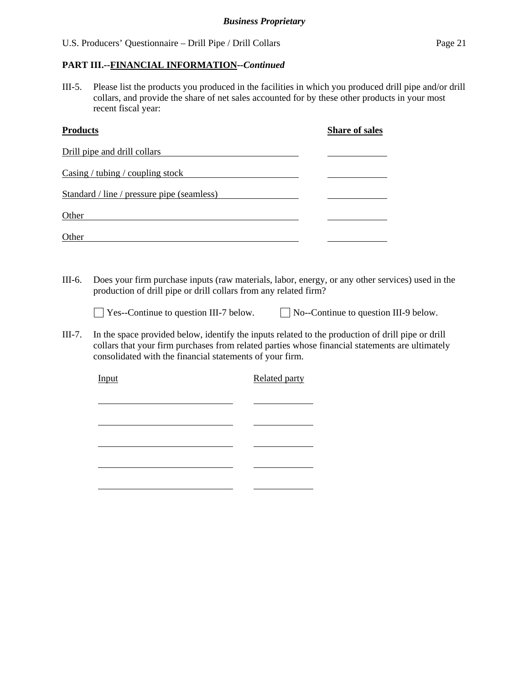# **PART III.--FINANCIAL INFORMATION***--Continued*

III-5. Please list the products you produced in the facilities in which you produced drill pipe and/or drill collars, and provide the share of net sales accounted for by these other products in your most recent fiscal year:

| <b>Products</b>                            | <b>Share of sales</b> |
|--------------------------------------------|-----------------------|
| Drill pipe and drill collars               |                       |
| Casing / tubing / coupling stock           |                       |
| Standard / line / pressure pipe (seamless) |                       |
| Other                                      |                       |
| Other                                      |                       |

III-6. Does your firm purchase inputs (raw materials, labor, energy, or any other services) used in the production of drill pipe or drill collars from any related firm?

■ Yes--Continue to question III-7 below. ■ No--Continue to question III-9 below.

III-7. In the space provided below, identify the inputs related to the production of drill pipe or drill collars that your firm purchases from related parties whose financial statements are ultimately consolidated with the financial statements of your firm.

Input Related party l l <u> 1989 - Johann Barbara, martxa al-</u> l l  $\overline{\phantom{a}}$ l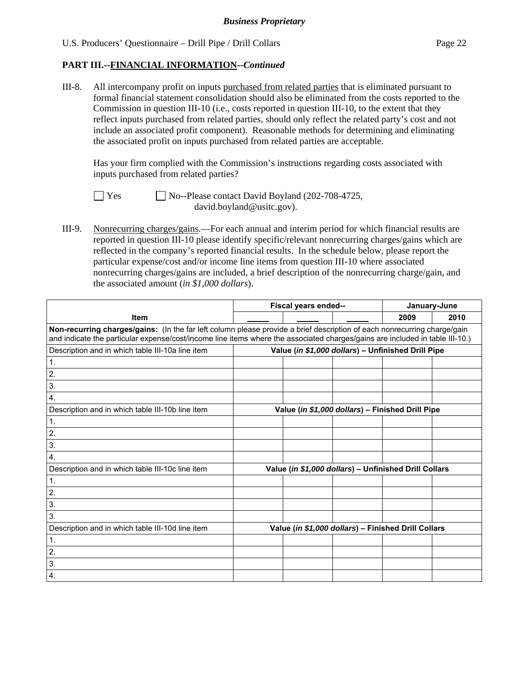# **PART III.--FINANCIAL INFORMATION***--Continued*

III-8. All intercompany profit on inputs purchased from related parties that is eliminated pursuant to formal financial statement consolidation should also be eliminated from the costs reported to the Commission in question III-10 (i.e., costs reported in question III-10, to the extent that they reflect inputs purchased from related parties, should only reflect the related party's cost and not include an associated profit component). Reasonable methods for determining and eliminating the associated profit on inputs purchased from related parties are acceptable.

 Has your firm complied with the Commission's instructions regarding costs associated with inputs purchased from related parties?

 $\Box$  Yes  $\Box$  No--Please contact David Boyland (202-708-4725, david.boyland@usitc.gov).

III-9. Nonrecurring charges/gains.—For each annual and interim period for which financial results are reported in question III-10 please identify specific/relevant nonrecurring charges/gains which are reflected in the company's reported financial results. In the schedule below, please report the particular expense/cost and/or income line items from question III-10 where associated nonrecurring charges/gains are included, a brief description of the nonrecurring charge/gain, and the associated amount (*in \$1,000 dollars*).

|                                                                                                                                                                                                                                                          | Fiscal years ended--                               |                                                       |  | January-June |      |  |
|----------------------------------------------------------------------------------------------------------------------------------------------------------------------------------------------------------------------------------------------------------|----------------------------------------------------|-------------------------------------------------------|--|--------------|------|--|
| <b>Item</b>                                                                                                                                                                                                                                              |                                                    |                                                       |  | 2009         | 2010 |  |
| Non-recurring charges/gains: (In the far left column please provide a brief description of each nonrecurring charge/gain<br>and indicate the particular expense/cost/income line items where the associated charges/gains are included in table III-10.) |                                                    |                                                       |  |              |      |  |
| Description and in which table III-10a line item                                                                                                                                                                                                         | Value (in \$1,000 dollars) - Unfinished Drill Pipe |                                                       |  |              |      |  |
| 1.                                                                                                                                                                                                                                                       |                                                    |                                                       |  |              |      |  |
| 2.                                                                                                                                                                                                                                                       |                                                    |                                                       |  |              |      |  |
| 3.                                                                                                                                                                                                                                                       |                                                    |                                                       |  |              |      |  |
| 4.                                                                                                                                                                                                                                                       |                                                    |                                                       |  |              |      |  |
| Description and in which table III-10b line item                                                                                                                                                                                                         |                                                    | Value (in \$1,000 dollars) - Finished Drill Pipe      |  |              |      |  |
| 1.                                                                                                                                                                                                                                                       |                                                    |                                                       |  |              |      |  |
| 2.                                                                                                                                                                                                                                                       |                                                    |                                                       |  |              |      |  |
| 3.                                                                                                                                                                                                                                                       |                                                    |                                                       |  |              |      |  |
| 4.                                                                                                                                                                                                                                                       |                                                    |                                                       |  |              |      |  |
| Description and in which table III-10c line item                                                                                                                                                                                                         |                                                    | Value (in \$1,000 dollars) - Unfinished Drill Collars |  |              |      |  |
| 1.                                                                                                                                                                                                                                                       |                                                    |                                                       |  |              |      |  |
| 2.                                                                                                                                                                                                                                                       |                                                    |                                                       |  |              |      |  |
| 3.                                                                                                                                                                                                                                                       |                                                    |                                                       |  |              |      |  |
| 3.                                                                                                                                                                                                                                                       |                                                    |                                                       |  |              |      |  |
| Description and in which table III-10d line item                                                                                                                                                                                                         |                                                    | Value (in \$1,000 dollars) - Finished Drill Collars   |  |              |      |  |
| $\mathbf{1}$ .                                                                                                                                                                                                                                           |                                                    |                                                       |  |              |      |  |
| 2.                                                                                                                                                                                                                                                       |                                                    |                                                       |  |              |      |  |
| 3.                                                                                                                                                                                                                                                       |                                                    |                                                       |  |              |      |  |
| $\boldsymbol{4}$ .                                                                                                                                                                                                                                       |                                                    |                                                       |  |              |      |  |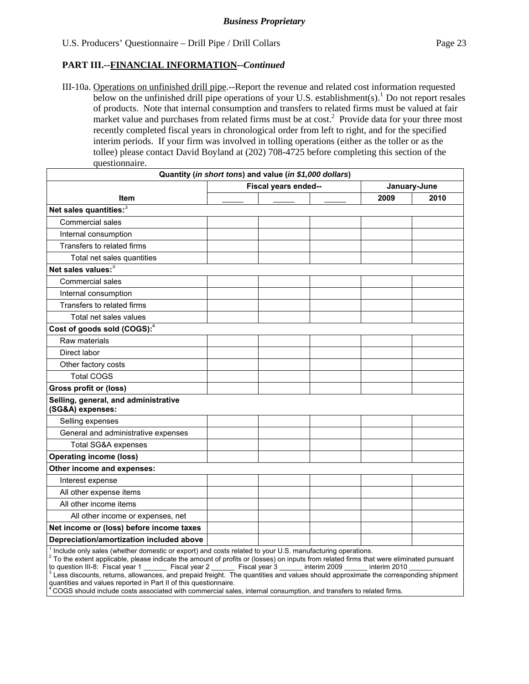III-10a. Operations on unfinished drill pipe.--Report the revenue and related cost information requested below on the unfinished drill pipe operations of your U.S. establishment(s).<sup>1</sup> Do not report resales of products. Note that internal consumption and transfers to related firms must be valued at fair market value and purchases from related firms must be at  $cost<sup>2</sup>$ . Provide data for your three most recently completed fiscal years in chronological order from left to right, and for the specified interim periods. If your firm was involved in tolling operations (either as the toller or as the tollee) please contact David Boyland at (202) 708-4725 before completing this section of the questionnaire.

| Quantity (in short tons) and value (in \$1,000 dollars)  |                      |              |      |      |
|----------------------------------------------------------|----------------------|--------------|------|------|
|                                                          | Fiscal years ended-- | January-June |      |      |
| Item                                                     |                      |              | 2009 | 2010 |
| Net sales quantities: <sup>3</sup>                       |                      |              |      |      |
| Commercial sales                                         |                      |              |      |      |
| Internal consumption                                     |                      |              |      |      |
| Transfers to related firms                               |                      |              |      |      |
| Total net sales quantities                               |                      |              |      |      |
| Net sales values: <sup>3</sup>                           |                      |              |      |      |
| <b>Commercial sales</b>                                  |                      |              |      |      |
| Internal consumption                                     |                      |              |      |      |
| Transfers to related firms                               |                      |              |      |      |
| Total net sales values                                   |                      |              |      |      |
| Cost of goods sold (COGS): <sup>4</sup>                  |                      |              |      |      |
| Raw materials                                            |                      |              |      |      |
| Direct labor                                             |                      |              |      |      |
| Other factory costs                                      |                      |              |      |      |
| <b>Total COGS</b>                                        |                      |              |      |      |
| Gross profit or (loss)                                   |                      |              |      |      |
| Selling, general, and administrative<br>(SG&A) expenses: |                      |              |      |      |
| Selling expenses                                         |                      |              |      |      |
| General and administrative expenses                      |                      |              |      |      |
| <b>Total SG&amp;A expenses</b>                           |                      |              |      |      |
| <b>Operating income (loss)</b>                           |                      |              |      |      |
| Other income and expenses:                               |                      |              |      |      |
| Interest expense                                         |                      |              |      |      |
| All other expense items                                  |                      |              |      |      |
| All other income items                                   |                      |              |      |      |
| All other income or expenses, net                        |                      |              |      |      |
| Net income or (loss) before income taxes                 |                      |              |      |      |
| Depreciation/amortization included above                 |                      |              |      |      |

to question III-8: Fiscal year 1 \_\_\_\_\_\_\_ Fiscal year 2 \_\_\_\_\_\_ Fiscal year 3 \_\_\_\_\_\_ interim 2009 \_\_\_\_\_\_ interim 2010 \_\_\_\_\_\_<br><sup>3</sup> Less discounts, returns, allowances, and prepaid freight. The quantities and values should appr quantities and values reported in Part II of this questionnaire.

 $4^4$ COGS should include costs associated with commercial sales, internal consumption, and transfers to related firms.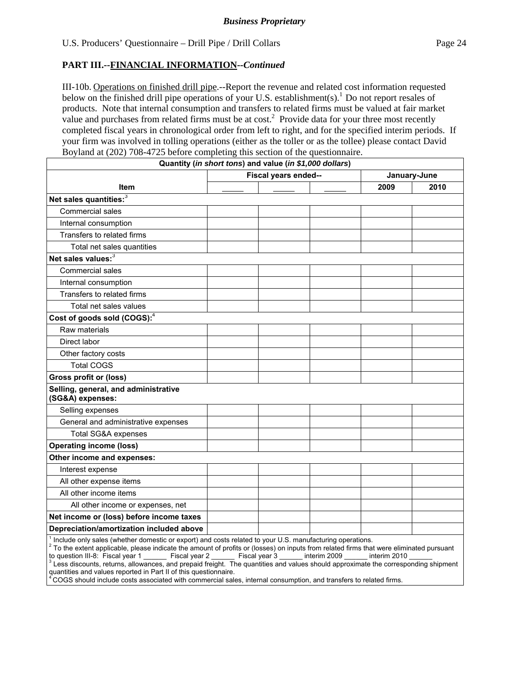III-10b. Operations on finished drill pipe.--Report the revenue and related cost information requested below on the finished drill pipe operations of your U.S. establishment(s).<sup>1</sup> Do not report resales of products. Note that internal consumption and transfers to related firms must be valued at fair market value and purchases from related firms must be at  $cost<sup>2</sup>$ . Provide data for your three most recently completed fiscal years in chronological order from left to right, and for the specified interim periods. If your firm was involved in tolling operations (either as the toller or as the tollee) please contact David Boyland at (202) 708-4725 before completing this section of the questionnaire.

|                                                          | Quantity (in short tons) and value (in \$1,000 dollars) |              |      |
|----------------------------------------------------------|---------------------------------------------------------|--------------|------|
|                                                          | Fiscal years ended--                                    | January-June |      |
| Item                                                     |                                                         | 2009         | 2010 |
| Net sales quantities:3                                   |                                                         |              |      |
| Commercial sales                                         |                                                         |              |      |
| Internal consumption                                     |                                                         |              |      |
| Transfers to related firms                               |                                                         |              |      |
| Total net sales quantities                               |                                                         |              |      |
| Net sales values: <sup>3</sup>                           |                                                         |              |      |
| Commercial sales                                         |                                                         |              |      |
| Internal consumption                                     |                                                         |              |      |
| Transfers to related firms                               |                                                         |              |      |
| Total net sales values                                   |                                                         |              |      |
| Cost of goods sold (COGS): <sup>4</sup>                  |                                                         |              |      |
| Raw materials                                            |                                                         |              |      |
| Direct labor                                             |                                                         |              |      |
| Other factory costs                                      |                                                         |              |      |
| <b>Total COGS</b>                                        |                                                         |              |      |
| Gross profit or (loss)                                   |                                                         |              |      |
| Selling, general, and administrative<br>(SG&A) expenses: |                                                         |              |      |
| Selling expenses                                         |                                                         |              |      |
| General and administrative expenses                      |                                                         |              |      |
| Total SG&A expenses                                      |                                                         |              |      |
| <b>Operating income (loss)</b>                           |                                                         |              |      |
| Other income and expenses:                               |                                                         |              |      |
| Interest expense                                         |                                                         |              |      |
| All other expense items                                  |                                                         |              |      |
| All other income items                                   |                                                         |              |      |
| All other income or expenses, net                        |                                                         |              |      |
| Net income or (loss) before income taxes                 |                                                         |              |      |
| Depreciation/amortization included above                 |                                                         |              |      |
|                                                          |                                                         |              |      |

1 Include only sales (whether domestic or export) and costs related to your U.S. manufacturing operations. 2

 $^{2}$  To the extent applicable, please indicate the amount of profits or (losses) on inputs from related firms that were eliminated pursuant to question III-8: Fiscal year 1 Fiscal year 2 Fiscal year 3 nuterim 2009 hterim to question III-8: Fiscal year 1 \_\_\_\_\_\_\_ Fiscal year 2 \_\_\_\_\_\_ Fiscal year 3 \_\_\_\_\_\_ interim 2009 \_\_\_\_\_\_ interim 2010 \_\_\_\_\_\_<br><sup>3</sup> Less discounts, returns, allowances, and prepaid freight. The quantities and values should appr quantities and values reported in Part II of this questionnaire.

4 COGS should include costs associated with commercial sales, internal consumption, and transfers to related firms.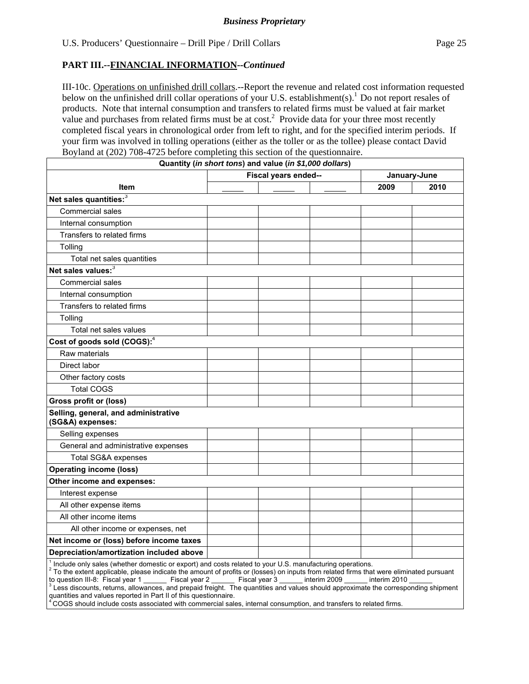III-10c. Operations on unfinished drill collars.--Report the revenue and related cost information requested below on the unfinished drill collar operations of your U.S. establishment(s).<sup>1</sup> Do not report resales of products. Note that internal consumption and transfers to related firms must be valued at fair market value and purchases from related firms must be at  $cost<sup>2</sup>$ . Provide data for your three most recently completed fiscal years in chronological order from left to right, and for the specified interim periods. If your firm was involved in tolling operations (either as the toller or as the tollee) please contact David Boyland at (202) 708-4725 before completing this section of the questionnaire.

|                                                          | Quantity (in short tons) and value (in \$1,000 dollars) |              |      |  |
|----------------------------------------------------------|---------------------------------------------------------|--------------|------|--|
|                                                          | Fiscal years ended--                                    | January-June |      |  |
| <b>Item</b>                                              |                                                         | 2009         | 2010 |  |
| Net sales quantities: <sup>3</sup>                       |                                                         |              |      |  |
| Commercial sales                                         |                                                         |              |      |  |
| Internal consumption                                     |                                                         |              |      |  |
| Transfers to related firms                               |                                                         |              |      |  |
| Tolling                                                  |                                                         |              |      |  |
| Total net sales quantities                               |                                                         |              |      |  |
| Net sales values: <sup>3</sup>                           |                                                         |              |      |  |
| Commercial sales                                         |                                                         |              |      |  |
| Internal consumption                                     |                                                         |              |      |  |
| Transfers to related firms                               |                                                         |              |      |  |
| Tolling                                                  |                                                         |              |      |  |
| Total net sales values                                   |                                                         |              |      |  |
| Cost of goods sold (COGS): <sup>4</sup>                  |                                                         |              |      |  |
| Raw materials                                            |                                                         |              |      |  |
| Direct labor                                             |                                                         |              |      |  |
| Other factory costs                                      |                                                         |              |      |  |
| <b>Total COGS</b>                                        |                                                         |              |      |  |
| Gross profit or (loss)                                   |                                                         |              |      |  |
| Selling, general, and administrative<br>(SG&A) expenses: |                                                         |              |      |  |
| Selling expenses                                         |                                                         |              |      |  |
| General and administrative expenses                      |                                                         |              |      |  |
| <b>Total SG&amp;A expenses</b>                           |                                                         |              |      |  |
| <b>Operating income (loss)</b>                           |                                                         |              |      |  |
| Other income and expenses:                               |                                                         |              |      |  |
| Interest expense                                         |                                                         |              |      |  |
| All other expense items                                  |                                                         |              |      |  |
| All other income items                                   |                                                         |              |      |  |
| All other income or expenses, net                        |                                                         |              |      |  |
| Net income or (loss) before income taxes                 |                                                         |              |      |  |
| Depreciation/amortization included above                 |                                                         |              |      |  |

to question III-8: Fiscal year 1 \_\_\_\_\_\_\_ Fiscal year 2 \_\_\_\_\_\_ Fiscal year 3 \_\_\_\_\_\_ interim 2009 \_\_\_\_\_\_ interim 2010 \_\_\_\_\_\_<br><sup>3</sup> Less discounts, returns, allowances, and prepaid freight. The quantities and values should appr quantities and values reported in Part II of this questionnaire.

4 COGS should include costs associated with commercial sales, internal consumption, and transfers to related firms.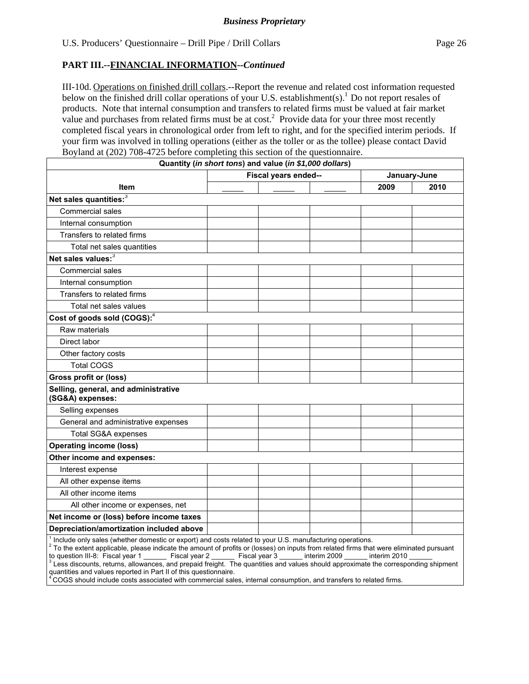III-10d. Operations on finished drill collars.--Report the revenue and related cost information requested below on the finished drill collar operations of your U.S. establishment(s).<sup>1</sup> Do not report resales of products. Note that internal consumption and transfers to related firms must be valued at fair market value and purchases from related firms must be at  $cost<sup>2</sup>$ . Provide data for your three most recently completed fiscal years in chronological order from left to right, and for the specified interim periods. If your firm was involved in tolling operations (either as the toller or as the tollee) please contact David Boyland at (202) 708-4725 before completing this section of the questionnaire.

|                                                          | Quantity (in short tons) and value (in \$1,000 dollars) |      |              |
|----------------------------------------------------------|---------------------------------------------------------|------|--------------|
|                                                          | Fiscal years ended--                                    |      | January-June |
| Item                                                     |                                                         | 2009 | 2010         |
| Net sales quantities:3                                   |                                                         |      |              |
| Commercial sales                                         |                                                         |      |              |
| Internal consumption                                     |                                                         |      |              |
| Transfers to related firms                               |                                                         |      |              |
| Total net sales quantities                               |                                                         |      |              |
| Net sales values: <sup>3</sup>                           |                                                         |      |              |
| Commercial sales                                         |                                                         |      |              |
| Internal consumption                                     |                                                         |      |              |
| Transfers to related firms                               |                                                         |      |              |
| Total net sales values                                   |                                                         |      |              |
| Cost of goods sold (COGS): <sup>4</sup>                  |                                                         |      |              |
| Raw materials                                            |                                                         |      |              |
| Direct labor                                             |                                                         |      |              |
| Other factory costs                                      |                                                         |      |              |
| <b>Total COGS</b>                                        |                                                         |      |              |
| <b>Gross profit or (loss)</b>                            |                                                         |      |              |
| Selling, general, and administrative<br>(SG&A) expenses: |                                                         |      |              |
| Selling expenses                                         |                                                         |      |              |
| General and administrative expenses                      |                                                         |      |              |
| <b>Total SG&amp;A expenses</b>                           |                                                         |      |              |
| <b>Operating income (loss)</b>                           |                                                         |      |              |
| Other income and expenses:                               |                                                         |      |              |
| Interest expense                                         |                                                         |      |              |
| All other expense items                                  |                                                         |      |              |
| All other income items                                   |                                                         |      |              |
| All other income or expenses, net                        |                                                         |      |              |
| Net income or (loss) before income taxes                 |                                                         |      |              |
| Depreciation/amortization included above                 |                                                         |      |              |
|                                                          |                                                         |      |              |

1 Include only sales (whether domestic or export) and costs related to your U.S. manufacturing operations. 2

 $^{2}$  To the extent applicable, please indicate the amount of profits or (losses) on inputs from related firms that were eliminated pursuant to question III-8: Fiscal year 1 Fiscal year 2 Fiscal year 3 nuterim 2009 hterim to question III-8: Fiscal year 1 \_\_\_\_\_\_\_ Fiscal year 2 \_\_\_\_\_\_ Fiscal year 3 \_\_\_\_\_\_ interim 2009 \_\_\_\_\_\_ interim 2010 \_\_\_\_\_\_<br><sup>3</sup> Less discounts, returns, allowances, and prepaid freight. The quantities and values should appr quantities and values reported in Part II of this questionnaire.

4 COGS should include costs associated with commercial sales, internal consumption, and transfers to related firms.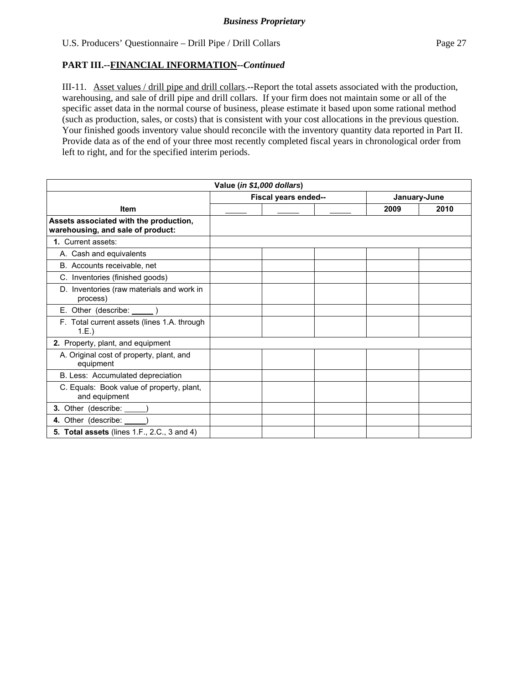# **PART III.--FINANCIAL INFORMATION***--Continued*

III-11. Asset values / drill pipe and drill collars.--Report the total assets associated with the production, warehousing, and sale of drill pipe and drill collars. If your firm does not maintain some or all of the specific asset data in the normal course of business, please estimate it based upon some rational method (such as production, sales, or costs) that is consistent with your cost allocations in the previous question. Your finished goods inventory value should reconcile with the inventory quantity data reported in Part II. Provide data as of the end of your three most recently completed fiscal years in chronological order from left to right, and for the specified interim periods.

| Value (in \$1,000 dollars)                                                  |  |                      |  |      |              |  |  |  |
|-----------------------------------------------------------------------------|--|----------------------|--|------|--------------|--|--|--|
|                                                                             |  | Fiscal years ended-- |  |      | January-June |  |  |  |
| <b>Item</b>                                                                 |  |                      |  | 2009 | 2010         |  |  |  |
| Assets associated with the production,<br>warehousing, and sale of product: |  |                      |  |      |              |  |  |  |
| 1. Current assets:                                                          |  |                      |  |      |              |  |  |  |
| A. Cash and equivalents                                                     |  |                      |  |      |              |  |  |  |
| B. Accounts receivable, net                                                 |  |                      |  |      |              |  |  |  |
| C. Inventories (finished goods)                                             |  |                      |  |      |              |  |  |  |
| D. Inventories (raw materials and work in<br>process)                       |  |                      |  |      |              |  |  |  |
| E. Other (describe: ________)                                               |  |                      |  |      |              |  |  |  |
| F. Total current assets (lines 1.A. through<br>1.E.                         |  |                      |  |      |              |  |  |  |
| 2. Property, plant, and equipment                                           |  |                      |  |      |              |  |  |  |
| A. Original cost of property, plant, and<br>equipment                       |  |                      |  |      |              |  |  |  |
| B. Less: Accumulated depreciation                                           |  |                      |  |      |              |  |  |  |
| C. Equals: Book value of property, plant,<br>and equipment                  |  |                      |  |      |              |  |  |  |
| 3. Other (describe: _____)                                                  |  |                      |  |      |              |  |  |  |
| 4. Other (describe: _____)                                                  |  |                      |  |      |              |  |  |  |
| <b>5. Total assets (lines 1.F., 2.C., 3 and 4)</b>                          |  |                      |  |      |              |  |  |  |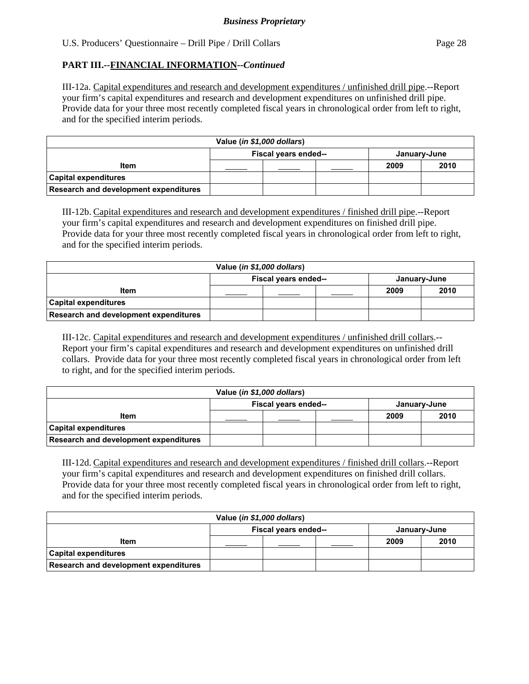# **PART III.--FINANCIAL INFORMATION***--Continued*

III-12a. Capital expenditures and research and development expenditures / unfinished drill pipe.--Report your firm's capital expenditures and research and development expenditures on unfinished drill pipe. Provide data for your three most recently completed fiscal years in chronological order from left to right, and for the specified interim periods.

| Value (in \$1,000 dollars)            |                                      |  |  |      |      |  |  |
|---------------------------------------|--------------------------------------|--|--|------|------|--|--|
|                                       | Fiscal years ended--<br>January-June |  |  |      |      |  |  |
| <b>Item</b>                           |                                      |  |  | 2009 | 2010 |  |  |
| <b>Capital expenditures</b>           |                                      |  |  |      |      |  |  |
| Research and development expenditures |                                      |  |  |      |      |  |  |

III-12b. Capital expenditures and research and development expenditures / finished drill pipe.--Report your firm's capital expenditures and research and development expenditures on finished drill pipe. Provide data for your three most recently completed fiscal years in chronological order from left to right, and for the specified interim periods.

| Value (in \$1,000 dollars)            |                                      |  |  |      |      |  |  |
|---------------------------------------|--------------------------------------|--|--|------|------|--|--|
|                                       | Fiscal years ended--<br>January-June |  |  |      |      |  |  |
| <b>Item</b>                           |                                      |  |  | 2009 | 2010 |  |  |
| <b>Capital expenditures</b>           |                                      |  |  |      |      |  |  |
| Research and development expenditures |                                      |  |  |      |      |  |  |

III-12c. Capital expenditures and research and development expenditures / unfinished drill collars.-- Report your firm's capital expenditures and research and development expenditures on unfinished drill collars. Provide data for your three most recently completed fiscal years in chronological order from left to right, and for the specified interim periods.

| Value (in \$1,000 dollars)            |                                      |  |  |      |      |  |  |
|---------------------------------------|--------------------------------------|--|--|------|------|--|--|
|                                       | Fiscal years ended--<br>January-June |  |  |      |      |  |  |
| <b>Item</b>                           |                                      |  |  | 2009 | 2010 |  |  |
| <b>Capital expenditures</b>           |                                      |  |  |      |      |  |  |
| Research and development expenditures |                                      |  |  |      |      |  |  |

III-12d. Capital expenditures and research and development expenditures / finished drill collars.--Report your firm's capital expenditures and research and development expenditures on finished drill collars. Provide data for your three most recently completed fiscal years in chronological order from left to right, and for the specified interim periods.

| Value (in \$1,000 dollars)            |                                      |  |  |      |      |  |  |
|---------------------------------------|--------------------------------------|--|--|------|------|--|--|
|                                       | Fiscal years ended--<br>January-June |  |  |      |      |  |  |
| <b>Item</b>                           |                                      |  |  | 2009 | 2010 |  |  |
| <b>Capital expenditures</b>           |                                      |  |  |      |      |  |  |
| Research and development expenditures |                                      |  |  |      |      |  |  |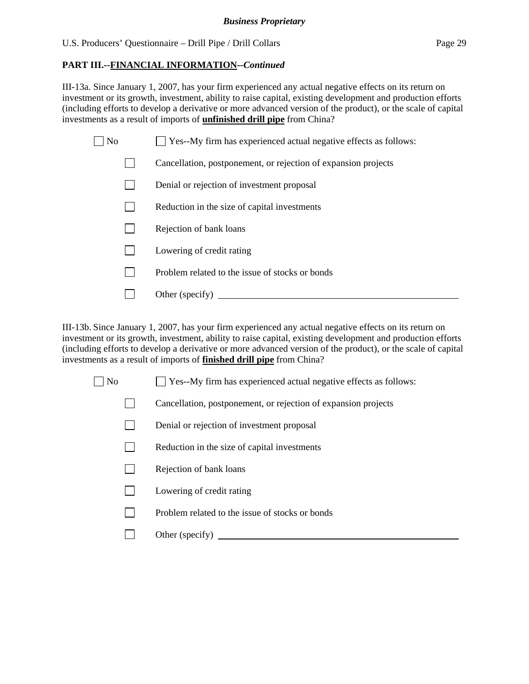# **PART III.--FINANCIAL INFORMATION***--Continued*

III-13a. Since January 1, 2007, has your firm experienced any actual negative effects on its return on investment or its growth, investment, ability to raise capital, existing development and production efforts (including efforts to develop a derivative or more advanced version of the product), or the scale of capital investments as a result of imports of **unfinished drill pipe** from China?

| No | Yes--My firm has experienced actual negative effects as follows: |
|----|------------------------------------------------------------------|
|    | Cancellation, postponement, or rejection of expansion projects   |
|    | Denial or rejection of investment proposal                       |
|    | Reduction in the size of capital investments                     |
|    | Rejection of bank loans                                          |
|    | Lowering of credit rating                                        |
|    |                                                                  |

- **Problem related to the issue of stocks or bonds**
- Other (specify)

III-13b. Since January 1, 2007, has your firm experienced any actual negative effects on its return on investment or its growth, investment, ability to raise capital, existing development and production efforts (including efforts to develop a derivative or more advanced version of the product), or the scale of capital investments as a result of imports of **finished drill pipe** from China?

 $\Box$  No  $\Box$  Yes--My firm has experienced actual negative effects as follows:

- Cancellation, postponement, or rejection of expansion projects
- Denial or rejection of investment proposal
- $\Box$  Reduction in the size of capital investments
- $\Box$  Rejection of bank loans
- **Lowering of credit rating**
- $\Box$  Problem related to the issue of stocks or bonds
- Other (specify)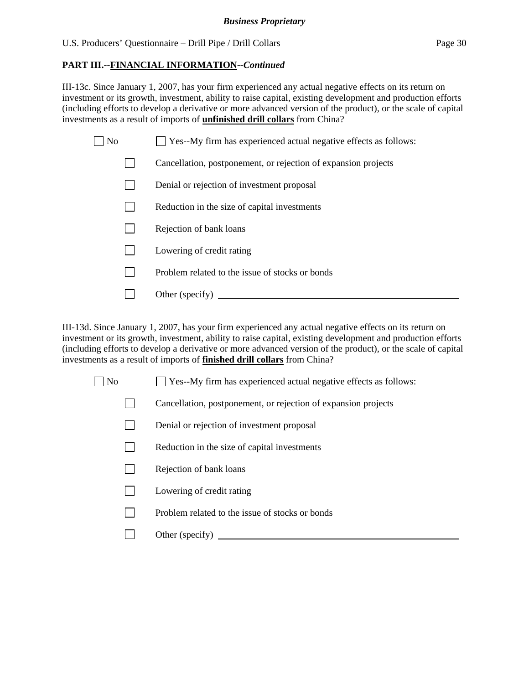# **PART III.--FINANCIAL INFORMATION***--Continued*

III-13c. Since January 1, 2007, has your firm experienced any actual negative effects on its return on investment or its growth, investment, ability to raise capital, existing development and production efforts (including efforts to develop a derivative or more advanced version of the product), or the scale of capital investments as a result of imports of **unfinished drill collars** from China?

| No | Yes--My firm has experienced actual negative effects as follows: |
|----|------------------------------------------------------------------|
|    | Cancellation, postponement, or rejection of expansion projects   |
|    | Denial or rejection of investment proposal                       |
|    | Reduction in the size of capital investments                     |
|    | Rejection of bank loans                                          |
|    | Lowering of credit rating                                        |
|    | Problem related to the issue of stocks or bonds                  |
|    | Other (specify)                                                  |

III-13d. Since January 1, 2007, has your firm experienced any actual negative effects on its return on investment or its growth, investment, ability to raise capital, existing development and production efforts (including efforts to develop a derivative or more advanced version of the product), or the scale of capital investments as a result of imports of **finished drill collars** from China?

 $\Box$  No  $\Box$  Yes--My firm has experienced actual negative effects as follows:

Cancellation, postponement, or rejection of expansion projects

- Denial or rejection of investment proposal
- $\Box$  Reduction in the size of capital investments
- $\Box$  Rejection of bank loans
- **Lowering of credit rating**
- $\Box$  Problem related to the issue of stocks or bonds
- Other (specify)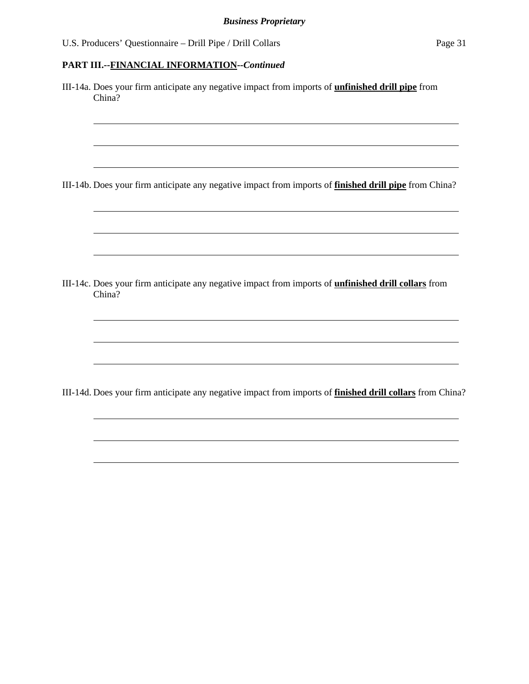# **PART III.--FINANCIAL INFORMATION***--Continued*

 $\overline{a}$ 

| III-14a. Does your firm anticipate any negative impact from imports of <i>unfinished drill pipe</i> from<br>China?    |
|-----------------------------------------------------------------------------------------------------------------------|
| III-14b. Does your firm anticipate any negative impact from imports of <b>finished drill pipe</b> from China?         |
|                                                                                                                       |
| III-14c. Does your firm anticipate any negative impact from imports of <i>unfinished drill collars</i> from<br>China? |
|                                                                                                                       |
| III-14d. Does your firm anticipate any negative impact from imports of <b>finished drill collars</b> from China?      |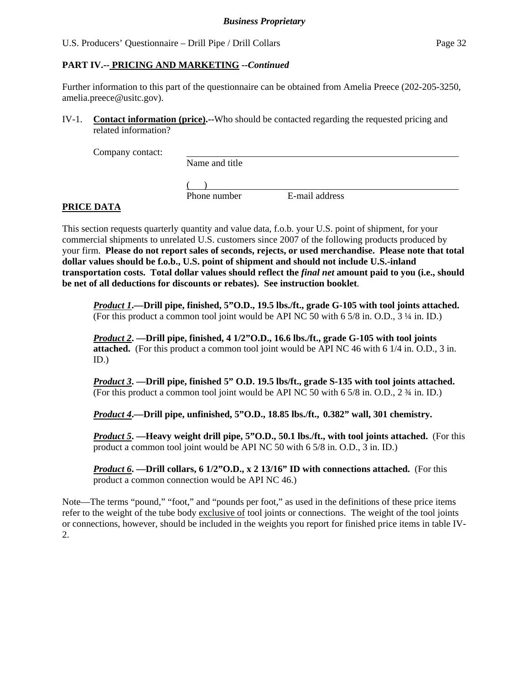# **PART IV.-- PRICING AND MARKETING** *--Continued*

Further information to this part of the questionnaire can be obtained from Amelia Preece (202-205-3250, amelia.preece@usitc.gov).

IV-1. **Contact information (price).--**Who should be contacted regarding the requested pricing and related information?

Company contact:

Name and title

 $($ 

Phone number E-mail address

# **PRICE DATA**

This section requests quarterly quantity and value data, f.o.b. your U.S. point of shipment, for your commercial shipments to unrelated U.S. customers since 2007 of the following products produced by your firm. **Please do not report sales of seconds, rejects, or used merchandise. Please note that total dollar values should be f.o.b., U.S. point of shipment and should not include U.S.-inland transportation costs. Total dollar values should reflect the** *final net* **amount paid to you (i.e., should be net of all deductions for discounts or rebates). See instruction booklet**.

*Product 1***.—Drill pipe, finished, 5"O.D., 19.5 lbs./ft., grade G-105 with tool joints attached.**  (For this product a common tool joint would be API NC 50 with 6 5/8 in. O.D., 3 ¼ in. ID.)

*Product 2***. —Drill pipe, finished, 4 1/2"O.D., 16.6 lbs./ft., grade G-105 with tool joints attached.** (For this product a common tool joint would be API NC 46 with 6 1/4 in. O.D., 3 in. ID.)

*Product 3***. —Drill pipe, finished 5" O.D. 19.5 lbs/ft., grade S-135 with tool joints attached.**  (For this product a common tool joint would be API NC 50 with 6 5/8 in. O.D., 2 ¾ in. ID.)

*Product 4***.—Drill pipe, unfinished, 5"O.D., 18.85 lbs./ft., 0.382" wall, 301 chemistry.** 

*Product 5***. —Heavy weight drill pipe, 5"O.D., 50.1 lbs./ft., with tool joints attached.** (For this product a common tool joint would be API NC 50 with 6 5/8 in. O.D., 3 in. ID.)

*Product 6***. —Drill collars, 6 1/2"O.D., x 2 13/16" ID with connections attached.** (For this product a common connection would be API NC 46.)

Note—The terms "pound," "foot," and "pounds per foot," as used in the definitions of these price items refer to the weight of the tube body exclusive of tool joints or connections. The weight of the tool joints or connections, however, should be included in the weights you report for finished price items in table IV-2.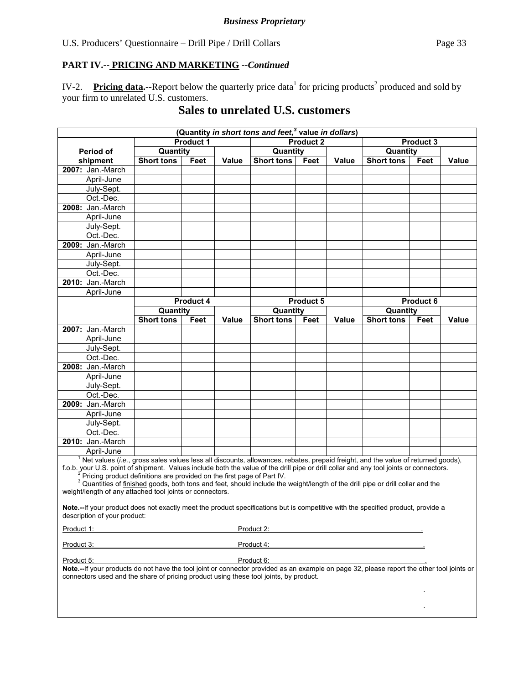# **PART IV.-- PRICING AND MARKETING** *--Continued*

IV-2. Pricing data.--Report below the quarterly price data<sup>1</sup> for pricing products<sup>2</sup> produced and sold by your firm to unrelated U.S. customers.

# **Sales to unrelated U.S. customers**

| (Quantity <i>in short tons and feet</i> , <sup>3</sup> value <i>in dollars</i> )                                                                                                                                                                                                                                                                                                                                                                                                                                                                              |                                              |           |       |                   |                  |              |                   |           |              |  |
|---------------------------------------------------------------------------------------------------------------------------------------------------------------------------------------------------------------------------------------------------------------------------------------------------------------------------------------------------------------------------------------------------------------------------------------------------------------------------------------------------------------------------------------------------------------|----------------------------------------------|-----------|-------|-------------------|------------------|--------------|-------------------|-----------|--------------|--|
|                                                                                                                                                                                                                                                                                                                                                                                                                                                                                                                                                               |                                              | Product 1 |       |                   | <b>Product 2</b> |              | Product 3         |           |              |  |
| <b>Period of</b>                                                                                                                                                                                                                                                                                                                                                                                                                                                                                                                                              | Quantity                                     |           |       |                   | Quantity         |              |                   | Quantity  |              |  |
| shipment                                                                                                                                                                                                                                                                                                                                                                                                                                                                                                                                                      | <b>Short tons</b>                            | Feet      | Value | <b>Short tons</b> | Feet             | <b>Value</b> | <b>Short tons</b> | Feet      | <b>Value</b> |  |
| 2007: Jan.-March                                                                                                                                                                                                                                                                                                                                                                                                                                                                                                                                              |                                              |           |       |                   |                  |              |                   |           |              |  |
| April-June                                                                                                                                                                                                                                                                                                                                                                                                                                                                                                                                                    |                                              |           |       |                   |                  |              |                   |           |              |  |
| July-Sept.                                                                                                                                                                                                                                                                                                                                                                                                                                                                                                                                                    |                                              |           |       |                   |                  |              |                   |           |              |  |
| Oct.-Dec.                                                                                                                                                                                                                                                                                                                                                                                                                                                                                                                                                     |                                              |           |       |                   |                  |              |                   |           |              |  |
| 2008: Jan.-March                                                                                                                                                                                                                                                                                                                                                                                                                                                                                                                                              |                                              |           |       |                   |                  |              |                   |           |              |  |
| April-June                                                                                                                                                                                                                                                                                                                                                                                                                                                                                                                                                    |                                              |           |       |                   |                  |              |                   |           |              |  |
| July-Sept.                                                                                                                                                                                                                                                                                                                                                                                                                                                                                                                                                    |                                              |           |       |                   |                  |              |                   |           |              |  |
| Oct.-Dec.                                                                                                                                                                                                                                                                                                                                                                                                                                                                                                                                                     |                                              |           |       |                   |                  |              |                   |           |              |  |
| 2009: Jan.-March                                                                                                                                                                                                                                                                                                                                                                                                                                                                                                                                              |                                              |           |       |                   |                  |              |                   |           |              |  |
| April-June                                                                                                                                                                                                                                                                                                                                                                                                                                                                                                                                                    |                                              |           |       |                   |                  |              |                   |           |              |  |
| July-Sept.                                                                                                                                                                                                                                                                                                                                                                                                                                                                                                                                                    |                                              |           |       |                   |                  |              |                   |           |              |  |
| Oct.-Dec.                                                                                                                                                                                                                                                                                                                                                                                                                                                                                                                                                     |                                              |           |       |                   |                  |              |                   |           |              |  |
| 2010: Jan.-March                                                                                                                                                                                                                                                                                                                                                                                                                                                                                                                                              |                                              |           |       |                   |                  |              |                   |           |              |  |
| April-June                                                                                                                                                                                                                                                                                                                                                                                                                                                                                                                                                    |                                              |           |       |                   |                  |              |                   |           |              |  |
|                                                                                                                                                                                                                                                                                                                                                                                                                                                                                                                                                               |                                              | Product 4 |       |                   | <b>Product 5</b> |              |                   | Product 6 |              |  |
|                                                                                                                                                                                                                                                                                                                                                                                                                                                                                                                                                               | Quantity                                     |           |       | Quantity          |                  |              | Quantity          |           |              |  |
|                                                                                                                                                                                                                                                                                                                                                                                                                                                                                                                                                               | <b>Short tons</b>                            | Feet      | Value | <b>Short tons</b> | Feet             | Value        | <b>Short tons</b> | Feet      | <b>Value</b> |  |
| 2007: Jan.-March                                                                                                                                                                                                                                                                                                                                                                                                                                                                                                                                              |                                              |           |       |                   |                  |              |                   |           |              |  |
| April-June                                                                                                                                                                                                                                                                                                                                                                                                                                                                                                                                                    |                                              |           |       |                   |                  |              |                   |           |              |  |
| July-Sept.                                                                                                                                                                                                                                                                                                                                                                                                                                                                                                                                                    |                                              |           |       |                   |                  |              |                   |           |              |  |
| Oct.-Dec.                                                                                                                                                                                                                                                                                                                                                                                                                                                                                                                                                     |                                              |           |       |                   |                  |              |                   |           |              |  |
| 2008: Jan.-March                                                                                                                                                                                                                                                                                                                                                                                                                                                                                                                                              |                                              |           |       |                   |                  |              |                   |           |              |  |
| April-June                                                                                                                                                                                                                                                                                                                                                                                                                                                                                                                                                    |                                              |           |       |                   |                  |              |                   |           |              |  |
| July-Sept.                                                                                                                                                                                                                                                                                                                                                                                                                                                                                                                                                    |                                              |           |       |                   |                  |              |                   |           |              |  |
| Oct.-Dec.                                                                                                                                                                                                                                                                                                                                                                                                                                                                                                                                                     |                                              |           |       |                   |                  |              |                   |           |              |  |
| 2009: Jan.-March                                                                                                                                                                                                                                                                                                                                                                                                                                                                                                                                              |                                              |           |       |                   |                  |              |                   |           |              |  |
| April-June                                                                                                                                                                                                                                                                                                                                                                                                                                                                                                                                                    |                                              |           |       |                   |                  |              |                   |           |              |  |
| July-Sept.                                                                                                                                                                                                                                                                                                                                                                                                                                                                                                                                                    |                                              |           |       |                   |                  |              |                   |           |              |  |
| Oct.-Dec.                                                                                                                                                                                                                                                                                                                                                                                                                                                                                                                                                     |                                              |           |       |                   |                  |              |                   |           |              |  |
| 2010: Jan.-March                                                                                                                                                                                                                                                                                                                                                                                                                                                                                                                                              |                                              |           |       |                   |                  |              |                   |           |              |  |
| April-June                                                                                                                                                                                                                                                                                                                                                                                                                                                                                                                                                    |                                              |           |       |                   |                  |              |                   |           |              |  |
| Net values (i.e., gross sales values less all discounts, allowances, rebates, prepaid freight, and the value of returned goods),<br>f.o.b. your U.S. point of shipment. Values include both the value of the drill pipe or drill collar and any tool joints or connectors.<br>Pricing product definitions are provided on the first page of Part IV.<br><sup>3</sup> Quantities of finished goods, both tons and feet, should include the weight/length of the drill pipe or drill collar and the<br>weight/length of any attached tool joints or connectors. |                                              |           |       |                   |                  |              |                   |           |              |  |
| Note.--If your product does not exactly meet the product specifications but is competitive with the specified product, provide a<br>description of your product:                                                                                                                                                                                                                                                                                                                                                                                              |                                              |           |       |                   |                  |              |                   |           |              |  |
| Product 1:                                                                                                                                                                                                                                                                                                                                                                                                                                                                                                                                                    | <u> 1980 - Jan Samuel Barbara, martin di</u> |           |       | Product 2:        |                  |              |                   |           |              |  |
| Product 4:<br>Product 3:                                                                                                                                                                                                                                                                                                                                                                                                                                                                                                                                      |                                              |           |       |                   |                  |              |                   |           |              |  |
| Product 6:<br>Product 5:<br>Note.--If your products do not have the tool joint or connector provided as an example on page 32, please report the other tool joints or<br>connectors used and the share of pricing product using these tool joints, by product.                                                                                                                                                                                                                                                                                                |                                              |           |       |                   |                  |              |                   |           |              |  |
|                                                                                                                                                                                                                                                                                                                                                                                                                                                                                                                                                               |                                              |           |       |                   |                  |              |                   |           |              |  |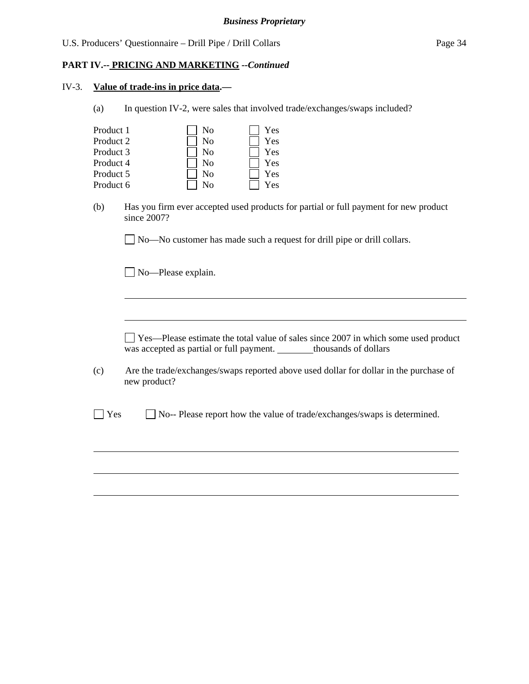#### **PART IV.-- PRICING AND MARKETING** *--Continued*

#### IV-3. **Value of trade-ins in price data.—**

(a) In question IV-2, were sales that involved trade/exchanges/swaps included?

| Product 1 | No | Yes |
|-----------|----|-----|
| Product 2 | No | Yes |
| Product 3 | No | Yes |
| Product 4 | Nο | Yes |
| Product 5 | No | Yes |
| Product 6 |    | 'es |

 (b) Has you firm ever accepted used products for partial or full payment for new product since 2007?

No—No customer has made such a request for drill pipe or drill collars.

No-Please explain.

l

 $\overline{a}$ 

 Yes—Please estimate the total value of sales since 2007 in which some used product was accepted as partial or full payment. thousands of dollars

(c) Are the trade/exchanges/swaps reported above used dollar for dollar in the purchase of new product?

No-- Please report how the value of trade/exchanges/swaps is determined.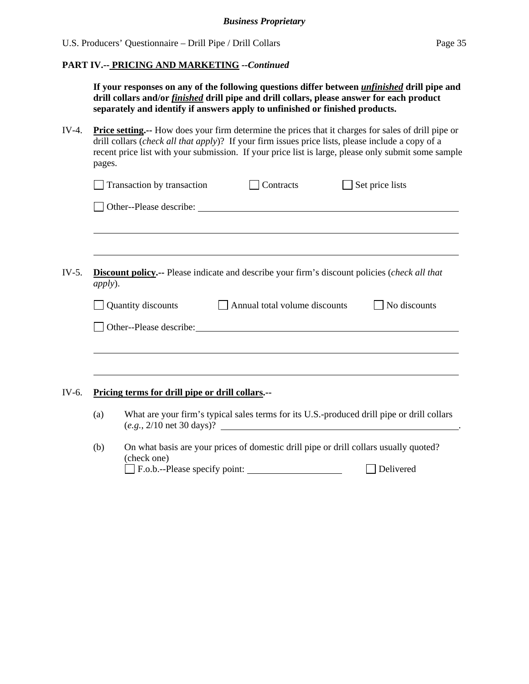# **PART IV.-- PRICING AND MARKETING** *--Continued*

|         |                                                                                                                                                                                                                                                                                                                                   | If your responses on any of the following questions differ between <i>unfinished</i> drill pipe and<br>drill collars and/or <i>finished</i> drill pipe and drill collars, please answer for each product<br>separately and identify if answers apply to unfinished or finished products. |                               |                                                                                                                                             |  |  |
|---------|-----------------------------------------------------------------------------------------------------------------------------------------------------------------------------------------------------------------------------------------------------------------------------------------------------------------------------------|------------------------------------------------------------------------------------------------------------------------------------------------------------------------------------------------------------------------------------------------------------------------------------------|-------------------------------|---------------------------------------------------------------------------------------------------------------------------------------------|--|--|
| IV-4.   | <b>Price setting.</b> -- How does your firm determine the prices that it charges for sales of drill pipe or<br>drill collars (check all that apply)? If your firm issues price lists, please include a copy of a<br>recent price list with your submission. If your price list is large, please only submit some sample<br>pages. |                                                                                                                                                                                                                                                                                          |                               |                                                                                                                                             |  |  |
|         |                                                                                                                                                                                                                                                                                                                                   | Transaction by transaction                                                                                                                                                                                                                                                               | Contracts                     | $\Box$ Set price lists                                                                                                                      |  |  |
|         |                                                                                                                                                                                                                                                                                                                                   |                                                                                                                                                                                                                                                                                          |                               |                                                                                                                                             |  |  |
|         |                                                                                                                                                                                                                                                                                                                                   |                                                                                                                                                                                                                                                                                          |                               |                                                                                                                                             |  |  |
| $IV-5.$ |                                                                                                                                                                                                                                                                                                                                   | <b>Discount policy.</b> -- Please indicate and describe your firm's discount policies (check all that<br>apply).                                                                                                                                                                         |                               |                                                                                                                                             |  |  |
|         |                                                                                                                                                                                                                                                                                                                                   | Quantity discounts                                                                                                                                                                                                                                                                       | Annual total volume discounts | No discounts                                                                                                                                |  |  |
|         |                                                                                                                                                                                                                                                                                                                                   | Other--Please describe: Note that the state of the state of the state of the state of the state of the state of the state of the state of the state of the state of the state of the state of the state of the state of the st                                                           |                               |                                                                                                                                             |  |  |
|         |                                                                                                                                                                                                                                                                                                                                   |                                                                                                                                                                                                                                                                                          |                               |                                                                                                                                             |  |  |
|         |                                                                                                                                                                                                                                                                                                                                   |                                                                                                                                                                                                                                                                                          |                               |                                                                                                                                             |  |  |
| IV-6.   |                                                                                                                                                                                                                                                                                                                                   | Pricing terms for drill pipe or drill collars.--                                                                                                                                                                                                                                         |                               |                                                                                                                                             |  |  |
|         | (a)                                                                                                                                                                                                                                                                                                                               |                                                                                                                                                                                                                                                                                          |                               | What are your firm's typical sales terms for its U.S.-produced drill pipe or drill collars<br>$(e.g., 2/10 \text{ net } 30 \text{ days})$ ? |  |  |
|         | (b)                                                                                                                                                                                                                                                                                                                               | (check one)                                                                                                                                                                                                                                                                              |                               | On what basis are your prices of domestic drill pipe or drill collars usually quoted?                                                       |  |  |
|         |                                                                                                                                                                                                                                                                                                                                   | F.o.b.--Please specify point:                                                                                                                                                                                                                                                            |                               | Delivered                                                                                                                                   |  |  |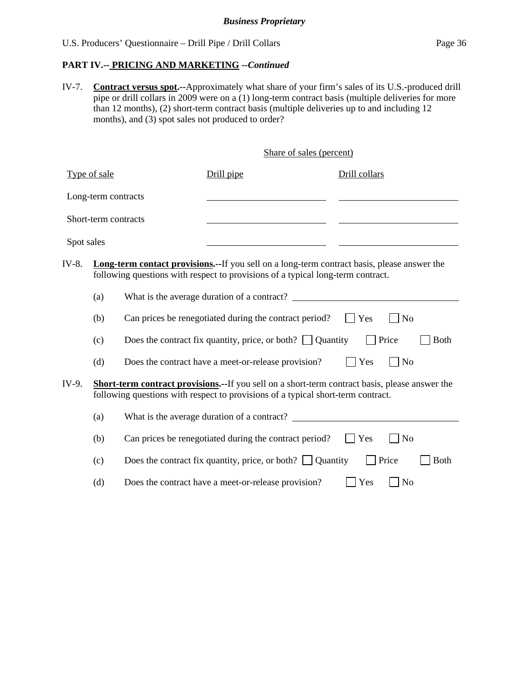#### **PART IV.-- PRICING AND MARKETING** *--Continued*

IV-7. **Contract versus spot.--**Approximately what share of your firm's sales of its U.S.-produced drill pipe or drill collars in 2009 were on a (1) long-term contract basis (multiple deliveries for more than 12 months), (2) short-term contract basis (multiple deliveries up to and including 12 months), and (3) spot sales not produced to order?

Share of sales (percent)

| Type of sale                                                                                                                     |                                                                                                                                                                                            |  | Drill pipe                                                                                                                                                                                                                    | Drill collars                                     |  |
|----------------------------------------------------------------------------------------------------------------------------------|--------------------------------------------------------------------------------------------------------------------------------------------------------------------------------------------|--|-------------------------------------------------------------------------------------------------------------------------------------------------------------------------------------------------------------------------------|---------------------------------------------------|--|
|                                                                                                                                  | Long-term contracts                                                                                                                                                                        |  |                                                                                                                                                                                                                               |                                                   |  |
|                                                                                                                                  | Short-term contracts                                                                                                                                                                       |  |                                                                                                                                                                                                                               |                                                   |  |
| Spot sales                                                                                                                       |                                                                                                                                                                                            |  |                                                                                                                                                                                                                               |                                                   |  |
| IV-8.                                                                                                                            | (a)                                                                                                                                                                                        |  | Long-term contact provisions.--If you sell on a long-term contract basis, please answer the<br>following questions with respect to provisions of a typical long-term contract.<br>What is the average duration of a contract? |                                                   |  |
| Can prices be renegotiated during the contract period?<br>(b)<br>Does the contract fix quantity, price, or both? $\Box$ Quantity |                                                                                                                                                                                            |  |                                                                                                                                                                                                                               | $ $ Yes<br>N <sub>o</sub><br>Price<br><b>Both</b> |  |
|                                                                                                                                  | (c)<br>(d)                                                                                                                                                                                 |  | Does the contract have a meet-or-release provision?                                                                                                                                                                           | N <sub>o</sub><br>Yes                             |  |
| IV-9.                                                                                                                            | <b>Short-term contract provisions.--</b> If you sell on a short-term contract basis, please answer the<br>following questions with respect to provisions of a typical short-term contract. |  |                                                                                                                                                                                                                               |                                                   |  |
|                                                                                                                                  | (a)                                                                                                                                                                                        |  | What is the average duration of a contract?                                                                                                                                                                                   |                                                   |  |
|                                                                                                                                  | (b)                                                                                                                                                                                        |  | Can prices be renegotiated during the contract period?                                                                                                                                                                        | $\mathbf{Yes}$<br>N <sub>o</sub>                  |  |
|                                                                                                                                  | (c)                                                                                                                                                                                        |  | Does the contract fix quantity, price, or both? $\Box$ Quantity                                                                                                                                                               | Price<br><b>Both</b>                              |  |
|                                                                                                                                  | (d)                                                                                                                                                                                        |  | Does the contract have a meet-or-release provision?                                                                                                                                                                           | Yes<br>N <sub>o</sub>                             |  |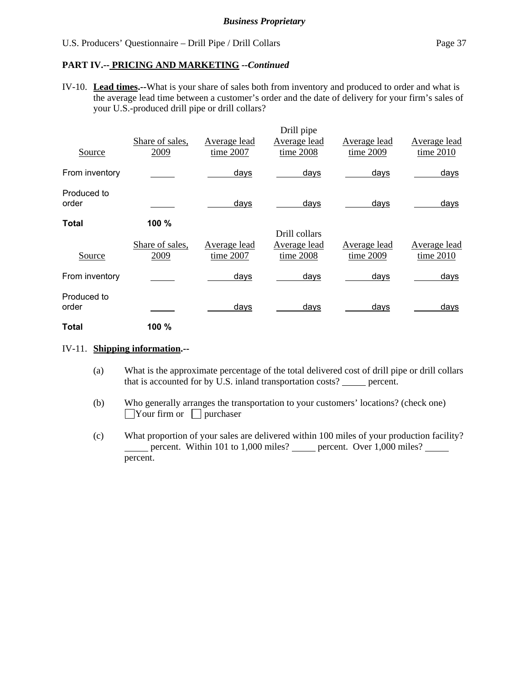#### **PART IV.-- PRICING AND MARKETING** *--Continued*

IV-10. **Lead times.--**What is your share of sales both from inventory and produced to order and what is the average lead time between a customer's order and the date of delivery for your firm's sales of your U.S.-produced drill pipe or drill collars?

|                      |                 |              | Drill pipe    |              |              |
|----------------------|-----------------|--------------|---------------|--------------|--------------|
|                      | Share of sales, | Average lead | Average lead  | Average lead | Average lead |
| Source               | 2009            | time 2007    | time 2008     | time 2009    | time 2010    |
| From inventory       |                 | days         | days          | days         | days         |
| Produced to<br>order |                 | days         | days          | days         | days         |
| Total                | 100 %           |              |               |              |              |
|                      |                 |              | Drill collars |              |              |
|                      | Share of sales, | Average lead | Average lead  | Average lead | Average lead |
| Source               | 2009            | time 2007    | time 2008     | time 2009    | time 2010    |
| From inventory       |                 | days         | days          | days         | days         |
| Produced to          |                 |              |               |              |              |
| order                |                 | days         | days          | days         | days         |
| Total                | 100 %           |              |               |              |              |

#### IV-11. **Shipping information.--**

- (a) What is the approximate percentage of the total delivered cost of drill pipe or drill collars that is accounted for by U.S. inland transportation costs? \_\_\_\_\_ percent.
- (b) Who generally arranges the transportation to your customers' locations? (check one)  $\Box$ Your firm or  $\Box$  purchaser
- (c) What proportion of your sales are delivered within 100 miles of your production facility? percent. Within 101 to 1,000 miles? percent. Over  $1,000$  miles? percent.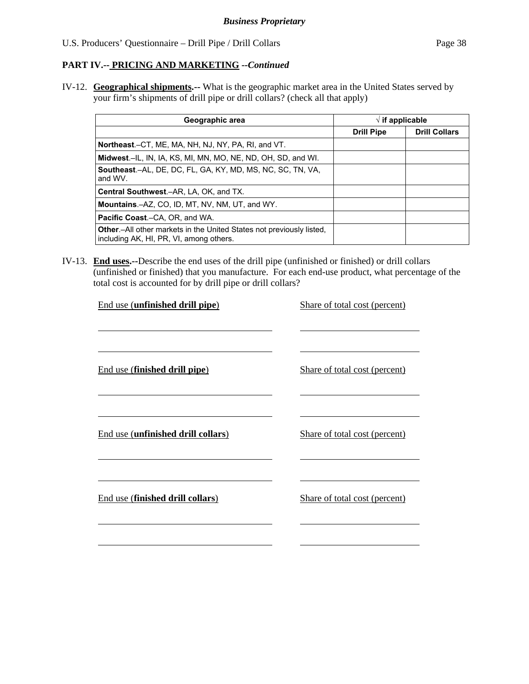# **PART IV.-- PRICING AND MARKETING** *--Continued*

IV-12. **Geographical shipments.--** What is the geographic market area in the United States served by your firm's shipments of drill pipe or drill collars? (check all that apply)

| Geographic area                                                                                                         | $\sqrt{ }$ if applicable |                      |  |
|-------------------------------------------------------------------------------------------------------------------------|--------------------------|----------------------|--|
|                                                                                                                         | <b>Drill Pipe</b>        | <b>Drill Collars</b> |  |
| Northeast.–CT, ME, MA, NH, NJ, NY, PA, RI, and VT.                                                                      |                          |                      |  |
| Midwest.–IL, IN, IA, KS, MI, MN, MO, NE, ND, OH, SD, and WI.                                                            |                          |                      |  |
| <b>Southeast.-AL, DE, DC, FL, GA, KY, MD, MS, NC, SC, TN, VA,</b><br>and WV.                                            |                          |                      |  |
| Central Southwest.-AR, LA, OK, and TX.                                                                                  |                          |                      |  |
| <b>Mountains.-AZ, CO, ID, MT, NV, NM, UT, and WY.</b>                                                                   |                          |                      |  |
| <b>Pacific Coast.–CA, OR, and WA.</b>                                                                                   |                          |                      |  |
| <b>Other</b> - All other markets in the United States not previously listed,<br>including AK, HI, PR, VI, among others. |                          |                      |  |

IV-13. **End uses.--**Describe the end uses of the drill pipe (unfinished or finished) or drill collars (unfinished or finished) that you manufacture. For each end-use product, what percentage of the total cost is accounted for by drill pipe or drill collars?

| End use (unfinished drill pipe)    | Share of total cost (percent) |
|------------------------------------|-------------------------------|
|                                    |                               |
|                                    |                               |
|                                    |                               |
| End use (finished drill pipe)      | Share of total cost (percent) |
|                                    |                               |
|                                    |                               |
|                                    |                               |
| End use (unfinished drill collars) | Share of total cost (percent) |
|                                    |                               |
|                                    |                               |
|                                    |                               |
| End use (finished drill collars)   | Share of total cost (percent) |
|                                    |                               |
|                                    |                               |
|                                    |                               |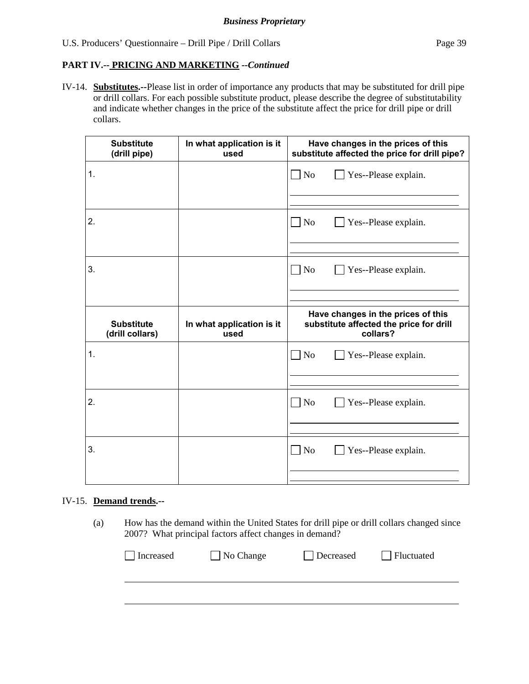# **PART IV.-- PRICING AND MARKETING** *--Continued*

IV-14. **Substitutes.--**Please list in order of importance any products that may be substituted for drill pipe or drill collars. For each possible substitute product, please describe the degree of substitutability and indicate whether changes in the price of the substitute affect the price for drill pipe or drill collars.

|    | <b>Substitute</b><br>(drill pipe)    | In what application is it<br>used | Have changes in the prices of this<br>substitute affected the price for drill pipe?       |  |
|----|--------------------------------------|-----------------------------------|-------------------------------------------------------------------------------------------|--|
| 1. |                                      |                                   | $\Box$ No<br>Yes--Please explain.                                                         |  |
|    |                                      |                                   |                                                                                           |  |
| 2. |                                      |                                   | $ $ No<br>Yes--Please explain.                                                            |  |
|    |                                      |                                   |                                                                                           |  |
| 3. |                                      |                                   | $\Box$ No<br>Yes--Please explain.                                                         |  |
|    |                                      |                                   |                                                                                           |  |
|    |                                      |                                   |                                                                                           |  |
|    | <b>Substitute</b><br>(drill collars) | In what application is it<br>used | Have changes in the prices of this<br>substitute affected the price for drill<br>collars? |  |
| 1. |                                      |                                   | N <sub>o</sub><br>Yes--Please explain.                                                    |  |
|    |                                      |                                   |                                                                                           |  |
| 2. |                                      |                                   | N <sub>o</sub><br>Yes--Please explain.                                                    |  |
|    |                                      |                                   |                                                                                           |  |
| 3. |                                      |                                   | N <sub>o</sub><br>Yes--Please explain.                                                    |  |

#### IV-15. **Demand trends.--**

(a) How has the demand within the United States for drill pipe or drill collars changed since 2007? What principal factors affect changes in demand?

| $\Box$ Increased | $\Box$ No Change | Decreased | Fluctuated |
|------------------|------------------|-----------|------------|
|                  |                  |           |            |
|                  |                  |           |            |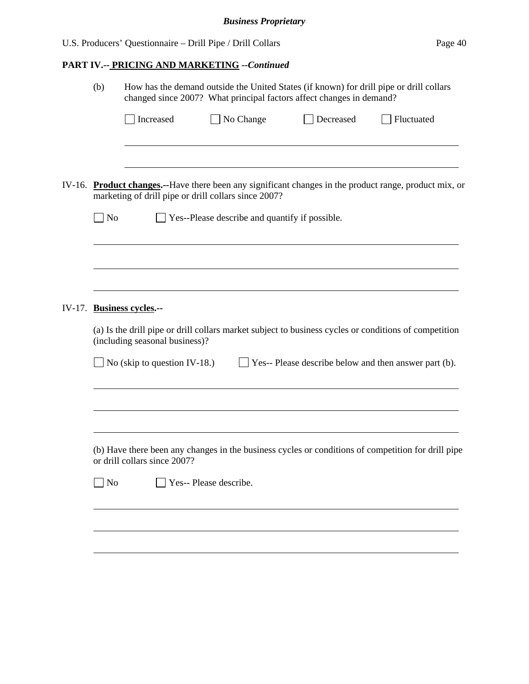# **PART IV.-- PRICING AND MARKETING** *--Continued*

|        | (b)            | How has the demand outside the United States (if known) for drill pipe or drill collars<br>changed since 2007? What principal factors affect changes in demand? |                                                                                                        |           |                                                                                                        |  |  |
|--------|----------------|-----------------------------------------------------------------------------------------------------------------------------------------------------------------|--------------------------------------------------------------------------------------------------------|-----------|--------------------------------------------------------------------------------------------------------|--|--|
|        |                | Increased                                                                                                                                                       | $\Box$ No Change                                                                                       | Decreased | Fluctuated                                                                                             |  |  |
|        | N <sub>o</sub> |                                                                                                                                                                 | marketing of drill pipe or drill collars since 2007?<br>Yes--Please describe and quantify if possible. |           | IV-16. Product changes.--Have there been any significant changes in the product range, product mix, or |  |  |
|        |                |                                                                                                                                                                 |                                                                                                        |           |                                                                                                        |  |  |
| IV-17. |                | <b>Business cycles.--</b><br>(including seasonal business)?                                                                                                     |                                                                                                        |           | (a) Is the drill pipe or drill collars market subject to business cycles or conditions of competition  |  |  |
|        |                | No (skip to question IV-18.)                                                                                                                                    |                                                                                                        |           | $\Box$ Yes-- Please describe below and then answer part (b).                                           |  |  |
|        |                | or drill collars since 2007?                                                                                                                                    |                                                                                                        |           | (b) Have there been any changes in the business cycles or conditions of competition for drill pipe     |  |  |
|        | No             |                                                                                                                                                                 | Yes-- Please describe.                                                                                 |           |                                                                                                        |  |  |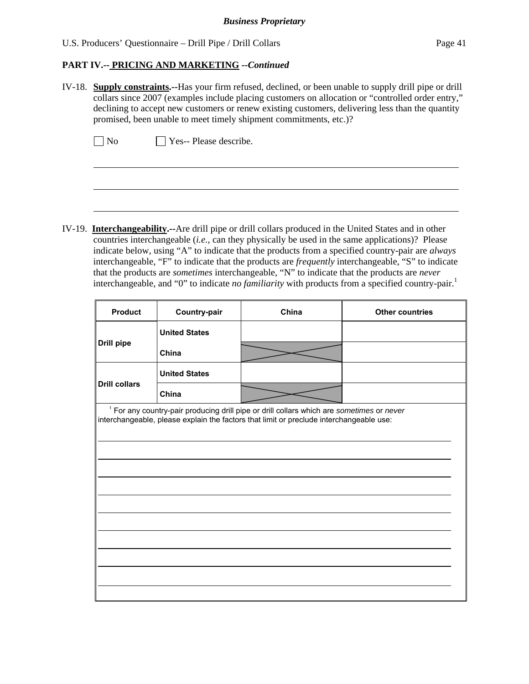# **PART IV.-- PRICING AND MARKETING** *--Continued*

IV-18. **Supply constraints.--**Has your firm refused, declined, or been unable to supply drill pipe or drill collars since 2007 (examples include placing customers on allocation or "controlled order entry," declining to accept new customers or renew existing customers, delivering less than the quantity promised, been unable to meet timely shipment commitments, etc.)?

 $\neg$  No  $\neg$  Yes-- Please describe.

 $\overline{a}$ 

IV-19. **Interchangeability.--**Are drill pipe or drill collars produced in the United States and in other countries interchangeable (*i.e.*, can they physically be used in the same applications)? Please indicate below, using "A" to indicate that the products from a specified country-pair are *always* interchangeable, "F" to indicate that the products are *frequently* interchangeable, "S" to indicate that the products are *sometimes* interchangeable, "N" to indicate that the products are *never* interchangeable, and "0" to indicate *no familiarity* with products from a specified country-pair.<sup>1</sup>

| <b>Product</b>       | Country-pair                                                                                                                                                                                    | China | <b>Other countries</b> |  |  |  |
|----------------------|-------------------------------------------------------------------------------------------------------------------------------------------------------------------------------------------------|-------|------------------------|--|--|--|
|                      | <b>United States</b>                                                                                                                                                                            |       |                        |  |  |  |
| <b>Drill pipe</b>    | China                                                                                                                                                                                           |       |                        |  |  |  |
|                      | <b>United States</b>                                                                                                                                                                            |       |                        |  |  |  |
| <b>Drill collars</b> | China                                                                                                                                                                                           |       |                        |  |  |  |
|                      | <sup>1</sup> For any country-pair producing drill pipe or drill collars which are sometimes or never<br>interchangeable, please explain the factors that limit or preclude interchangeable use: |       |                        |  |  |  |
|                      |                                                                                                                                                                                                 |       |                        |  |  |  |
|                      |                                                                                                                                                                                                 |       |                        |  |  |  |
|                      |                                                                                                                                                                                                 |       |                        |  |  |  |
|                      |                                                                                                                                                                                                 |       |                        |  |  |  |
|                      |                                                                                                                                                                                                 |       |                        |  |  |  |
|                      |                                                                                                                                                                                                 |       |                        |  |  |  |
|                      |                                                                                                                                                                                                 |       |                        |  |  |  |
|                      |                                                                                                                                                                                                 |       |                        |  |  |  |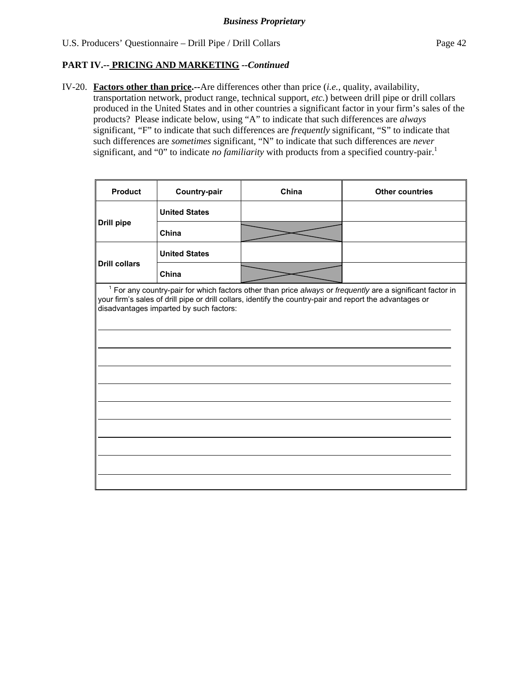$\mathbf{r}$ 

# **PART IV.-- PRICING AND MARKETING** *--Continued*

IV-20. **Factors other than price.--**Are differences other than price (*i.e.*, quality, availability, transportation network, product range, technical support, *etc.*) between drill pipe or drill collars produced in the United States and in other countries a significant factor in your firm's sales of the products? Please indicate below, using "A" to indicate that such differences are *always* significant, "F" to indicate that such differences are *frequently* significant, "S" to indicate that such differences are *sometimes* significant, "N" to indicate that such differences are *never* significant, and "0" to indicate *no familiarity* with products from a specified country-pair.<sup>1</sup>

| <b>Product</b>       | Country-pair                            | China                                                                                                    | <b>Other countries</b>                                                                                                |
|----------------------|-----------------------------------------|----------------------------------------------------------------------------------------------------------|-----------------------------------------------------------------------------------------------------------------------|
|                      | <b>United States</b>                    |                                                                                                          |                                                                                                                       |
| <b>Drill pipe</b>    | China                                   |                                                                                                          |                                                                                                                       |
|                      | <b>United States</b>                    |                                                                                                          |                                                                                                                       |
| <b>Drill collars</b> | China                                   |                                                                                                          |                                                                                                                       |
|                      | disadvantages imparted by such factors: | your firm's sales of drill pipe or drill collars, identify the country-pair and report the advantages or | <sup>1</sup> For any country-pair for which factors other than price always or frequently are a significant factor in |
|                      |                                         |                                                                                                          |                                                                                                                       |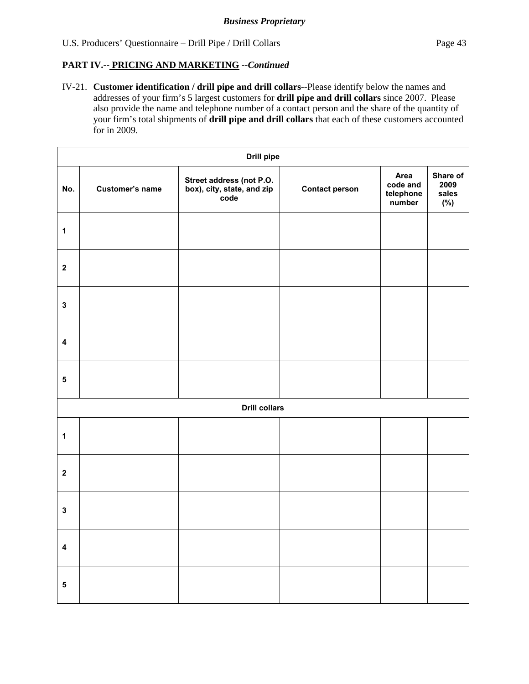# **PART IV.-- PRICING AND MARKETING** *--Continued*

IV-21. **Customer identification / drill pipe and drill collars**--Please identify below the names and addresses of your firm's 5 largest customers for **drill pipe and drill collars** since 2007. Please also provide the name and telephone number of a contact person and the share of the quantity of your firm's total shipments of **drill pipe and drill collars** that each of these customers accounted for in 2009.

|                  | Drill pipe             |                                                                |                       |                                         |                                     |  |  |
|------------------|------------------------|----------------------------------------------------------------|-----------------------|-----------------------------------------|-------------------------------------|--|--|
| No.              | <b>Customer's name</b> | Street address (not P.O.<br>box), city, state, and zip<br>code | <b>Contact person</b> | Area<br>code and<br>telephone<br>number | Share of<br>2009<br>sales<br>$(\%)$ |  |  |
| $\mathbf 1$      |                        |                                                                |                       |                                         |                                     |  |  |
| $\boldsymbol{2}$ |                        |                                                                |                       |                                         |                                     |  |  |
| $\mathbf 3$      |                        |                                                                |                       |                                         |                                     |  |  |
| $\pmb{4}$        |                        |                                                                |                       |                                         |                                     |  |  |
| ${\bf 5}$        |                        |                                                                |                       |                                         |                                     |  |  |
|                  |                        | <b>Drill collars</b>                                           |                       |                                         |                                     |  |  |
| $\mathbf 1$      |                        |                                                                |                       |                                         |                                     |  |  |
| $\boldsymbol{2}$ |                        |                                                                |                       |                                         |                                     |  |  |
| $\mathbf 3$      |                        |                                                                |                       |                                         |                                     |  |  |
| $\pmb{4}$        |                        |                                                                |                       |                                         |                                     |  |  |
| ${\bf 5}$        |                        |                                                                |                       |                                         |                                     |  |  |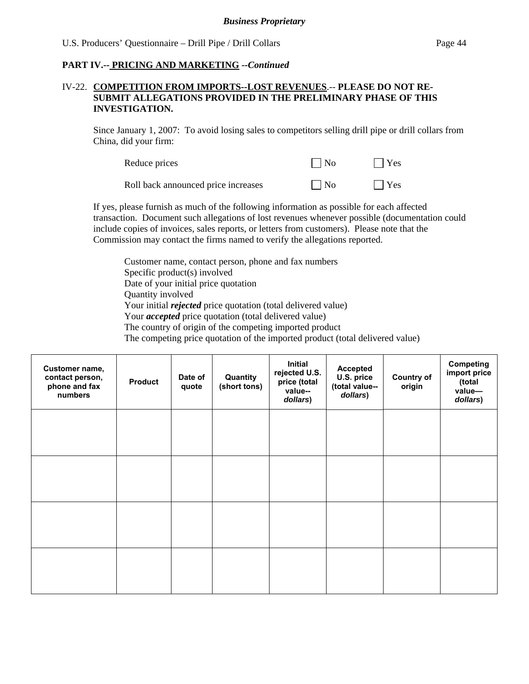# **PART IV.-- PRICING AND MARKETING** *--Continued*

#### IV-22. **COMPETITION FROM IMPORTS--LOST REVENUES**.-- **PLEASE DO NOT RE-SUBMIT ALLEGATIONS PROVIDED IN THE PRELIMINARY PHASE OF THIS INVESTIGATION.**

Since January 1, 2007: To avoid losing sales to competitors selling drill pipe or drill collars from China, did your firm:

| Reduce prices                       | $\Box$ No | $\Box$ Yes |
|-------------------------------------|-----------|------------|
| Roll back announced price increases | $\Box$ No | $\Box$ Yes |

If yes, please furnish as much of the following information as possible for each affected transaction. Document such allegations of lost revenues whenever possible (documentation could include copies of invoices, sales reports, or letters from customers). Please note that the Commission may contact the firms named to verify the allegations reported.

Customer name, contact person, phone and fax numbers Specific product(s) involved Date of your initial price quotation Quantity involved Your initial *rejected* price quotation (total delivered value) Your *accepted* price quotation (total delivered value) The country of origin of the competing imported product The competing price quotation of the imported product (total delivered value)

| Customer name,<br>contact person,<br>phone and fax<br>numbers | <b>Product</b> | Date of<br>quote | Quantity<br>(short tons) | <b>Initial</b><br>rejected U.S.<br>price (total<br>value--<br>dollars) | <b>Accepted</b><br>U.S. price<br>(total value--<br>dollars) | <b>Country of</b><br>origin | <b>Competing</b><br>import price<br>(total<br>value-<br>dollars) |
|---------------------------------------------------------------|----------------|------------------|--------------------------|------------------------------------------------------------------------|-------------------------------------------------------------|-----------------------------|------------------------------------------------------------------|
|                                                               |                |                  |                          |                                                                        |                                                             |                             |                                                                  |
|                                                               |                |                  |                          |                                                                        |                                                             |                             |                                                                  |
|                                                               |                |                  |                          |                                                                        |                                                             |                             |                                                                  |
|                                                               |                |                  |                          |                                                                        |                                                             |                             |                                                                  |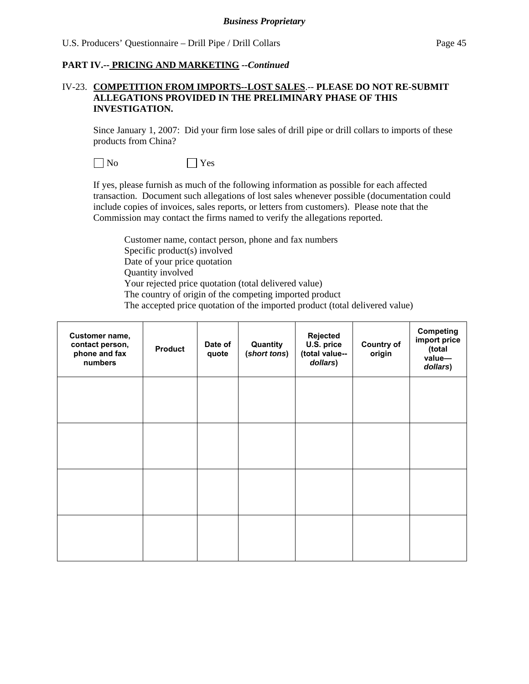#### **PART IV.-- PRICING AND MARKETING** *--Continued*

#### IV-23. **COMPETITION FROM IMPORTS--LOST SALES**.-- **PLEASE DO NOT RE-SUBMIT ALLEGATIONS PROVIDED IN THE PRELIMINARY PHASE OF THIS INVESTIGATION.**

Since January 1, 2007: Did your firm lose sales of drill pipe or drill collars to imports of these products from China?

No Yes

If yes, please furnish as much of the following information as possible for each affected transaction. Document such allegations of lost sales whenever possible (documentation could include copies of invoices, sales reports, or letters from customers). Please note that the Commission may contact the firms named to verify the allegations reported.

Customer name, contact person, phone and fax numbers Specific product(s) involved Date of your price quotation Quantity involved Your rejected price quotation (total delivered value) The country of origin of the competing imported product The accepted price quotation of the imported product (total delivered value)

| Customer name,<br>contact person,<br>phone and fax<br>numbers | <b>Product</b> | Date of<br>quote | Quantity<br>(short tons) | Rejected<br>U.S. price<br>(total value--<br>dollars) | <b>Country of</b><br>origin | Competing<br>import price<br>(total<br>value-<br>dollars) |
|---------------------------------------------------------------|----------------|------------------|--------------------------|------------------------------------------------------|-----------------------------|-----------------------------------------------------------|
|                                                               |                |                  |                          |                                                      |                             |                                                           |
|                                                               |                |                  |                          |                                                      |                             |                                                           |
|                                                               |                |                  |                          |                                                      |                             |                                                           |
|                                                               |                |                  |                          |                                                      |                             |                                                           |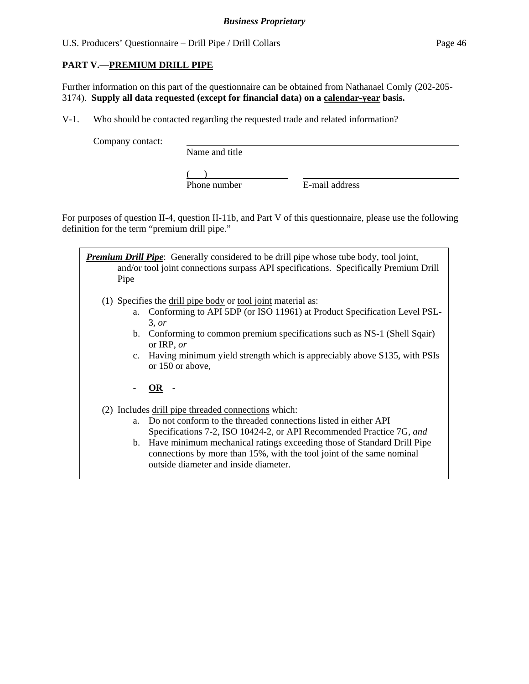# **PART V.—PREMIUM DRILL PIPE**

Further information on this part of the questionnaire can be obtained from Nathanael Comly (202-205- 3174). **Supply all data requested (except for financial data) on a calendar-year basis.**

V-1. Who should be contacted regarding the requested trade and related information?

Company contact:

Name and title

 $\overline{)}$ Phone number E-mail address

For purposes of question II-4, question II-11b, and Part V of this questionnaire, please use the following definition for the term "premium drill pipe."

| Pipe           | <b>Premium Drill Pipe:</b> Generally considered to be drill pipe whose tube body, tool joint,<br>and/or tool joint connections surpass API specifications. Specifically Premium Drill       |
|----------------|---------------------------------------------------------------------------------------------------------------------------------------------------------------------------------------------|
|                | (1) Specifies the drill pipe body or tool joint material as:                                                                                                                                |
| a.             | Conforming to API 5DP (or ISO 11961) at Product Specification Level PSL-<br>3, or                                                                                                           |
| $\mathbf{b}$ . | Conforming to common premium specifications such as NS-1 (Shell Sqair)<br>or IRP, $or$                                                                                                      |
| $c_{\cdot}$    | Having minimum yield strength which is appreciably above S135, with PSIs<br>or 150 or above,                                                                                                |
|                | OR                                                                                                                                                                                          |
|                | (2) Includes drill pipe threaded connections which:                                                                                                                                         |
| a.             | Do not conform to the threaded connections listed in either API<br>Specifications 7-2, ISO 10424-2, or API Recommended Practice 7G, and                                                     |
|                | b. Have minimum mechanical ratings exceeding those of Standard Drill Pipe<br>connections by more than 15%, with the tool joint of the same nominal<br>outside diameter and inside diameter. |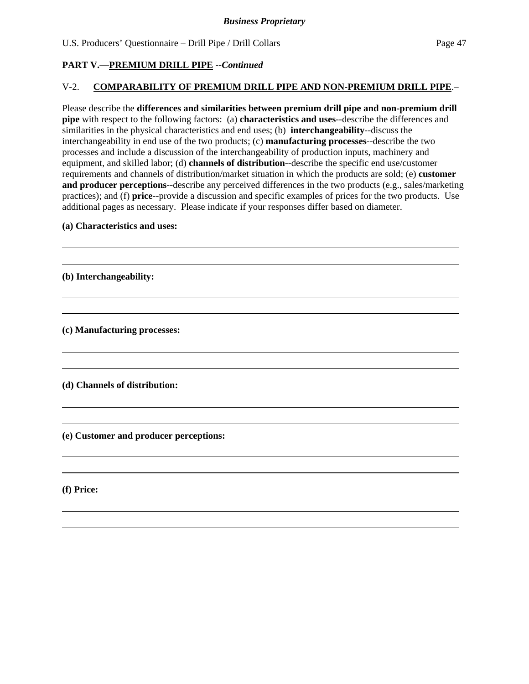#### **PART V.—PREMIUM DRILL PIPE** *--Continued*

#### V-2. **COMPARABILITY OF PREMIUM DRILL PIPE AND NON-PREMIUM DRILL PIPE**.–

Please describe the **differences and similarities between premium drill pipe and non-premium drill pipe** with respect to the following factors: (a) **characteristics and uses**--describe the differences and similarities in the physical characteristics and end uses; (b) **interchangeability**--discuss the interchangeability in end use of the two products; (c) **manufacturing processes**--describe the two processes and include a discussion of the interchangeability of production inputs, machinery and equipment, and skilled labor; (d) **channels of distribution**--describe the specific end use/customer requirements and channels of distribution/market situation in which the products are sold; (e) **customer and producer perceptions**--describe any perceived differences in the two products (e.g., sales/marketing practices); and (f) **price**--provide a discussion and specific examples of prices for the two products. Use additional pages as necessary. Please indicate if your responses differ based on diameter.

#### **(a) Characteristics and uses:**

**(b) Interchangeability:** 

l  $\overline{a}$ 

 $\overline{a}$  $\overline{a}$ 

 $\overline{a}$  $\overline{a}$ 

l  $\overline{a}$ 

 $\overline{a}$  $\overline{a}$ 

 $\overline{a}$  $\overline{a}$ 

**(c) Manufacturing processes:** 

**(d) Channels of distribution:** 

**(e) Customer and producer perceptions:** 

**(f) Price:**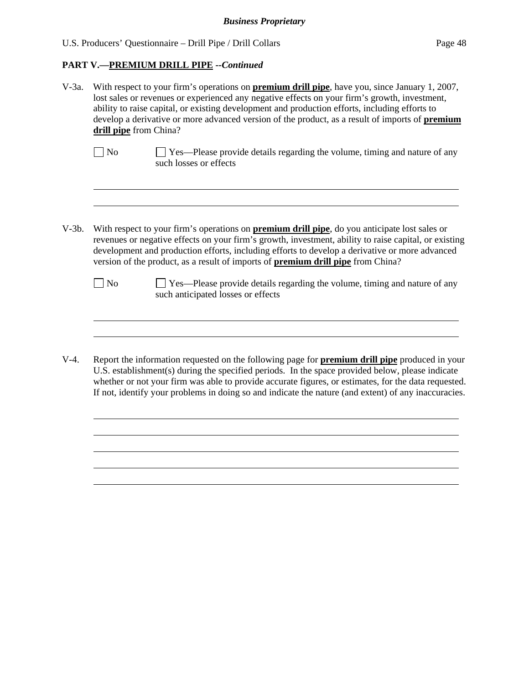#### **PART V.—PREMIUM DRILL PIPE** *--Continued*

l

| $V-3a$ . | With respect to your firm's operations on <b>premium drill pipe</b> , have you, since January 1, 2007,<br>lost sales or revenues or experienced any negative effects on your firm's growth, investment,<br>ability to raise capital, or existing development and production efforts, including efforts to<br>develop a derivative or more advanced version of the product, as a result of imports of <b>premium</b><br>drill pipe from China? |                                                                                                                                                                                                                                                                                                                                                                                                             |  |  |  |
|----------|-----------------------------------------------------------------------------------------------------------------------------------------------------------------------------------------------------------------------------------------------------------------------------------------------------------------------------------------------------------------------------------------------------------------------------------------------|-------------------------------------------------------------------------------------------------------------------------------------------------------------------------------------------------------------------------------------------------------------------------------------------------------------------------------------------------------------------------------------------------------------|--|--|--|
|          | No                                                                                                                                                                                                                                                                                                                                                                                                                                            | Yes—Please provide details regarding the volume, timing and nature of any<br>such losses or effects                                                                                                                                                                                                                                                                                                         |  |  |  |
|          |                                                                                                                                                                                                                                                                                                                                                                                                                                               |                                                                                                                                                                                                                                                                                                                                                                                                             |  |  |  |
| $V-3b.$  |                                                                                                                                                                                                                                                                                                                                                                                                                                               | With respect to your firm's operations on <b>premium drill pipe</b> , do you anticipate lost sales or<br>revenues or negative effects on your firm's growth, investment, ability to raise capital, or existing<br>development and production efforts, including efforts to develop a derivative or more advanced<br>version of the product, as a result of imports of <b>premium drill pipe</b> from China? |  |  |  |
|          | N <sub>0</sub>                                                                                                                                                                                                                                                                                                                                                                                                                                | $\Box$ Yes—Please provide details regarding the volume, timing and nature of any<br>such anticipated losses or effects                                                                                                                                                                                                                                                                                      |  |  |  |
|          |                                                                                                                                                                                                                                                                                                                                                                                                                                               |                                                                                                                                                                                                                                                                                                                                                                                                             |  |  |  |
| $V-4.$   |                                                                                                                                                                                                                                                                                                                                                                                                                                               | Report the information requested on the following page for <b>premium drill pipe</b> produced in your<br>$\overline{H}$ $\overline{R}$ ortablishment(s) during the specified newide. In the spees previded helew places indicate                                                                                                                                                                            |  |  |  |

U.S. establishment(s) during the specified periods. In the space provided below, please indicate whether or not your firm was able to provide accurate figures, or estimates, for the data requested. If not, identify your problems in doing so and indicate the nature (and extent) of any inaccuracies.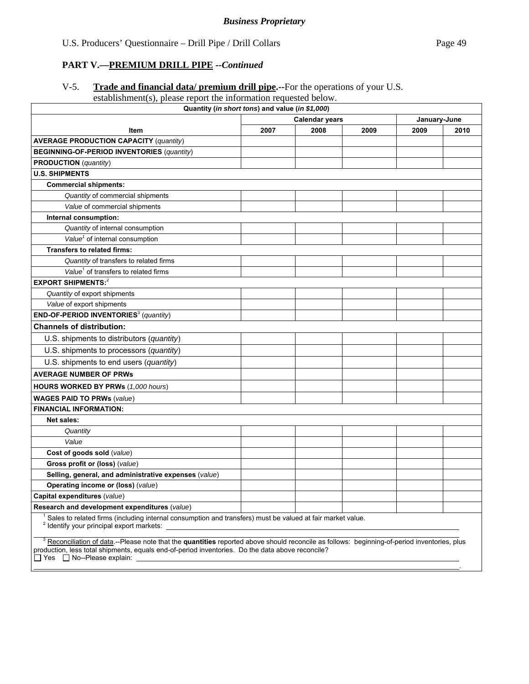# **PART V.—PREMIUM DRILL PIPE** *--Continued*

# V-5. **Trade and financial data/ premium drill pipe.--**For the operations of your U.S.

# establishment(s), please report the information requested below.

| Quantity (in short tons) and value (in \$1,000)                                                                                                                                                                                                                                            |      |      |      |              |      |
|--------------------------------------------------------------------------------------------------------------------------------------------------------------------------------------------------------------------------------------------------------------------------------------------|------|------|------|--------------|------|
| <b>Calendar years</b>                                                                                                                                                                                                                                                                      |      |      |      | January-June |      |
| <b>Item</b>                                                                                                                                                                                                                                                                                | 2007 | 2008 | 2009 | 2009         | 2010 |
| <b>AVERAGE PRODUCTION CAPACITY (quantity)</b>                                                                                                                                                                                                                                              |      |      |      |              |      |
| <b>BEGINNING-OF-PERIOD INVENTORIES (quantity)</b>                                                                                                                                                                                                                                          |      |      |      |              |      |
| <b>PRODUCTION</b> ( <i>quantity</i> )                                                                                                                                                                                                                                                      |      |      |      |              |      |
| <b>U.S. SHIPMENTS</b>                                                                                                                                                                                                                                                                      |      |      |      |              |      |
| <b>Commercial shipments:</b>                                                                                                                                                                                                                                                               |      |      |      |              |      |
| Quantity of commercial shipments                                                                                                                                                                                                                                                           |      |      |      |              |      |
| Value of commercial shipments                                                                                                                                                                                                                                                              |      |      |      |              |      |
| Internal consumption:                                                                                                                                                                                                                                                                      |      |      |      |              |      |
| Quantity of internal consumption                                                                                                                                                                                                                                                           |      |      |      |              |      |
| Value <sup>1</sup> of internal consumption                                                                                                                                                                                                                                                 |      |      |      |              |      |
| <b>Transfers to related firms:</b>                                                                                                                                                                                                                                                         |      |      |      |              |      |
| Quantity of transfers to related firms                                                                                                                                                                                                                                                     |      |      |      |              |      |
| Value <sup>1</sup> of transfers to related firms                                                                                                                                                                                                                                           |      |      |      |              |      |
| <b>EXPORT SHIPMENTS:2</b>                                                                                                                                                                                                                                                                  |      |      |      |              |      |
| Quantity of export shipments                                                                                                                                                                                                                                                               |      |      |      |              |      |
| Value of export shipments                                                                                                                                                                                                                                                                  |      |      |      |              |      |
| <b>END-OF-PERIOD INVENTORIES</b> <sup>3</sup> (quantity)                                                                                                                                                                                                                                   |      |      |      |              |      |
| <b>Channels of distribution:</b>                                                                                                                                                                                                                                                           |      |      |      |              |      |
| U.S. shipments to distributors (quantity)                                                                                                                                                                                                                                                  |      |      |      |              |      |
| U.S. shipments to processors (quantity)                                                                                                                                                                                                                                                    |      |      |      |              |      |
| U.S. shipments to end users (quantity)                                                                                                                                                                                                                                                     |      |      |      |              |      |
| <b>AVERAGE NUMBER OF PRWs</b>                                                                                                                                                                                                                                                              |      |      |      |              |      |
| <b>HOURS WORKED BY PRWs (1,000 hours)</b>                                                                                                                                                                                                                                                  |      |      |      |              |      |
| <b>WAGES PAID TO PRWs (value)</b>                                                                                                                                                                                                                                                          |      |      |      |              |      |
| <b>FINANCIAL INFORMATION:</b>                                                                                                                                                                                                                                                              |      |      |      |              |      |
| Net sales:                                                                                                                                                                                                                                                                                 |      |      |      |              |      |
| Quantity                                                                                                                                                                                                                                                                                   |      |      |      |              |      |
| Value                                                                                                                                                                                                                                                                                      |      |      |      |              |      |
| Cost of goods sold (value)                                                                                                                                                                                                                                                                 |      |      |      |              |      |
| Gross profit or (loss) (value)                                                                                                                                                                                                                                                             |      |      |      |              |      |
| Selling, general, and administrative expenses (value)                                                                                                                                                                                                                                      |      |      |      |              |      |
| Operating income or (loss) (value)                                                                                                                                                                                                                                                         |      |      |      |              |      |
| Capital expenditures (value)                                                                                                                                                                                                                                                               |      |      |      |              |      |
| Research and development expenditures (value)                                                                                                                                                                                                                                              |      |      |      |              |      |
| <sup>1</sup> Sales to related firms (including internal consumption and transfers) must be valued at fair market value.<br><sup>2</sup> Identify your principal export markets:                                                                                                            |      |      |      |              |      |
| <sup>3</sup> Reconciliation of data.--Please note that the quantities reported above should reconcile as follows: beginning-of-period inventories, plus<br>production, less total shipments, equals end-of-period inventories. Do the data above reconcile?<br>□ Yes □ No--Please explain: |      |      |      |              |      |